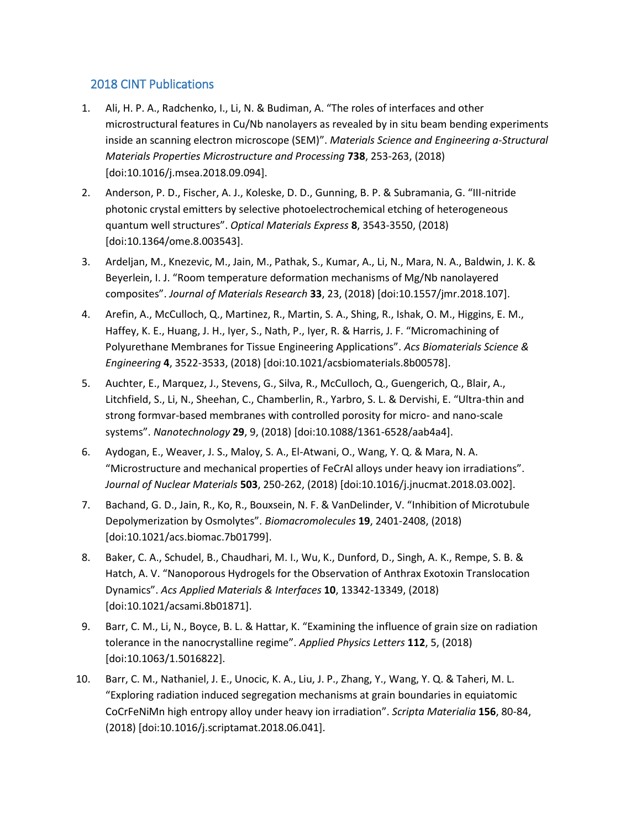## 2018 CINT Publications

- 1. Ali, H. P. A., Radchenko, I., Li, N. & Budiman, A. "The roles of interfaces and other microstructural features in Cu/Nb nanolayers as revealed by in situ beam bending experiments inside an scanning electron microscope (SEM)". *Materials Science and Engineering a-Structural Materials Properties Microstructure and Processing* **738**, 253-263, (2018) [doi:10.1016/j.msea.2018.09.094].
- 2. Anderson, P. D., Fischer, A. J., Koleske, D. D., Gunning, B. P. & Subramania, G. "III-nitride photonic crystal emitters by selective photoelectrochemical etching of heterogeneous quantum well structures". *Optical Materials Express* **8**, 3543-3550, (2018) [doi:10.1364/ome.8.003543].
- 3. Ardeljan, M., Knezevic, M., Jain, M., Pathak, S., Kumar, A., Li, N., Mara, N. A., Baldwin, J. K. & Beyerlein, I. J. "Room temperature deformation mechanisms of Mg/Nb nanolayered composites". *Journal of Materials Research* **33**, 23, (2018) [doi:10.1557/jmr.2018.107].
- 4. Arefin, A., McCulloch, Q., Martinez, R., Martin, S. A., Shing, R., Ishak, O. M., Higgins, E. M., Haffey, K. E., Huang, J. H., Iyer, S., Nath, P., Iyer, R. & Harris, J. F. "Micromachining of Polyurethane Membranes for Tissue Engineering Applications". *Acs Biomaterials Science & Engineering* **4**, 3522-3533, (2018) [doi:10.1021/acsbiomaterials.8b00578].
- 5. Auchter, E., Marquez, J., Stevens, G., Silva, R., McCulloch, Q., Guengerich, Q., Blair, A., Litchfield, S., Li, N., Sheehan, C., Chamberlin, R., Yarbro, S. L. & Dervishi, E. "Ultra-thin and strong formvar-based membranes with controlled porosity for micro- and nano-scale systems". *Nanotechnology* **29**, 9, (2018) [doi:10.1088/1361-6528/aab4a4].
- 6. Aydogan, E., Weaver, J. S., Maloy, S. A., El-Atwani, O., Wang, Y. Q. & Mara, N. A. "Microstructure and mechanical properties of FeCrAl alloys under heavy ion irradiations". *Journal of Nuclear Materials* **503**, 250-262, (2018) [doi:10.1016/j.jnucmat.2018.03.002].
- 7. Bachand, G. D., Jain, R., Ko, R., Bouxsein, N. F. & VanDelinder, V. "Inhibition of Microtubule Depolymerization by Osmolytes". *Biomacromolecules* **19**, 2401-2408, (2018) [doi:10.1021/acs.biomac.7b01799].
- 8. Baker, C. A., Schudel, B., Chaudhari, M. I., Wu, K., Dunford, D., Singh, A. K., Rempe, S. B. & Hatch, A. V. "Nanoporous Hydrogels for the Observation of Anthrax Exotoxin Translocation Dynamics". *Acs Applied Materials & Interfaces* **10**, 13342-13349, (2018) [doi:10.1021/acsami.8b01871].
- 9. Barr, C. M., Li, N., Boyce, B. L. & Hattar, K. "Examining the influence of grain size on radiation tolerance in the nanocrystalline regime". *Applied Physics Letters* **112**, 5, (2018) [doi:10.1063/1.5016822].
- 10. Barr, C. M., Nathaniel, J. E., Unocic, K. A., Liu, J. P., Zhang, Y., Wang, Y. Q. & Taheri, M. L. "Exploring radiation induced segregation mechanisms at grain boundaries in equiatomic CoCrFeNiMn high entropy alloy under heavy ion irradiation". *Scripta Materialia* **156**, 80-84, (2018) [doi:10.1016/j.scriptamat.2018.06.041].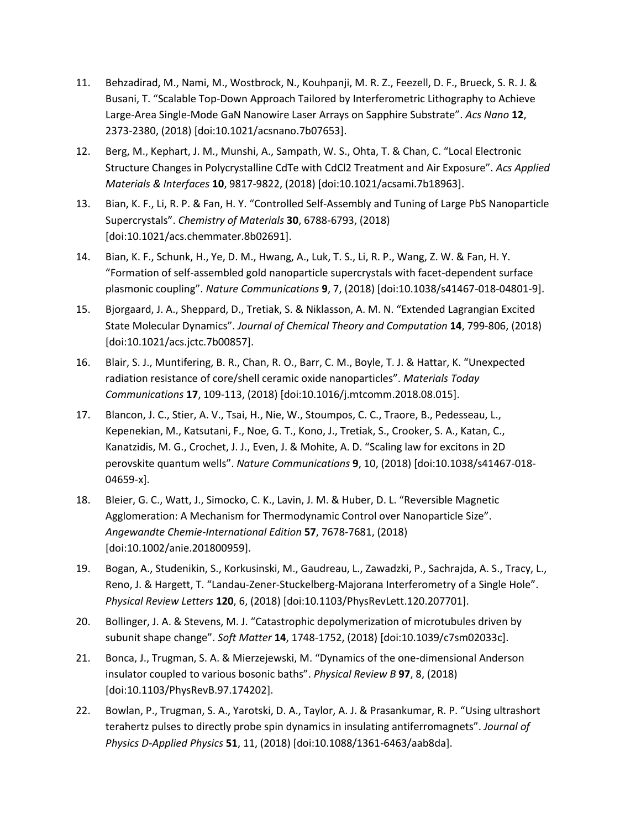- 11. Behzadirad, M., Nami, M., Wostbrock, N., Kouhpanji, M. R. Z., Feezell, D. F., Brueck, S. R. J. & Busani, T. "Scalable Top-Down Approach Tailored by Interferometric Lithography to Achieve Large-Area Single-Mode GaN Nanowire Laser Arrays on Sapphire Substrate". *Acs Nano* **12**, 2373-2380, (2018) [doi:10.1021/acsnano.7b07653].
- 12. Berg, M., Kephart, J. M., Munshi, A., Sampath, W. S., Ohta, T. & Chan, C. "Local Electronic Structure Changes in Polycrystalline CdTe with CdCl2 Treatment and Air Exposure". *Acs Applied Materials & Interfaces* **10**, 9817-9822, (2018) [doi:10.1021/acsami.7b18963].
- 13. Bian, K. F., Li, R. P. & Fan, H. Y. "Controlled Self-Assembly and Tuning of Large PbS Nanoparticle Supercrystals". *Chemistry of Materials* **30**, 6788-6793, (2018) [doi:10.1021/acs.chemmater.8b02691].
- 14. Bian, K. F., Schunk, H., Ye, D. M., Hwang, A., Luk, T. S., Li, R. P., Wang, Z. W. & Fan, H. Y. "Formation of self-assembled gold nanoparticle supercrystals with facet-dependent surface plasmonic coupling". *Nature Communications* **9**, 7, (2018) [doi:10.1038/s41467-018-04801-9].
- 15. Bjorgaard, J. A., Sheppard, D., Tretiak, S. & Niklasson, A. M. N. "Extended Lagrangian Excited State Molecular Dynamics". *Journal of Chemical Theory and Computation* **14**, 799-806, (2018) [doi:10.1021/acs.jctc.7b00857].
- 16. Blair, S. J., Muntifering, B. R., Chan, R. O., Barr, C. M., Boyle, T. J. & Hattar, K. "Unexpected radiation resistance of core/shell ceramic oxide nanoparticles". *Materials Today Communications* **17**, 109-113, (2018) [doi:10.1016/j.mtcomm.2018.08.015].
- 17. Blancon, J. C., Stier, A. V., Tsai, H., Nie, W., Stoumpos, C. C., Traore, B., Pedesseau, L., Kepenekian, M., Katsutani, F., Noe, G. T., Kono, J., Tretiak, S., Crooker, S. A., Katan, C., Kanatzidis, M. G., Crochet, J. J., Even, J. & Mohite, A. D. "Scaling law for excitons in 2D perovskite quantum wells". *Nature Communications* **9**, 10, (2018) [doi:10.1038/s41467-018- 04659-x].
- 18. Bleier, G. C., Watt, J., Simocko, C. K., Lavin, J. M. & Huber, D. L. "Reversible Magnetic Agglomeration: A Mechanism for Thermodynamic Control over Nanoparticle Size". *Angewandte Chemie-International Edition* **57**, 7678-7681, (2018) [doi:10.1002/anie.201800959].
- 19. Bogan, A., Studenikin, S., Korkusinski, M., Gaudreau, L., Zawadzki, P., Sachrajda, A. S., Tracy, L., Reno, J. & Hargett, T. "Landau-Zener-Stuckelberg-Majorana Interferometry of a Single Hole". *Physical Review Letters* **120**, 6, (2018) [doi:10.1103/PhysRevLett.120.207701].
- 20. Bollinger, J. A. & Stevens, M. J. "Catastrophic depolymerization of microtubules driven by subunit shape change". *Soft Matter* **14**, 1748-1752, (2018) [doi:10.1039/c7sm02033c].
- 21. Bonca, J., Trugman, S. A. & Mierzejewski, M. "Dynamics of the one-dimensional Anderson insulator coupled to various bosonic baths". *Physical Review B* **97**, 8, (2018) [doi:10.1103/PhysRevB.97.174202].
- 22. Bowlan, P., Trugman, S. A., Yarotski, D. A., Taylor, A. J. & Prasankumar, R. P. "Using ultrashort terahertz pulses to directly probe spin dynamics in insulating antiferromagnets". *Journal of Physics D-Applied Physics* **51**, 11, (2018) [doi:10.1088/1361-6463/aab8da].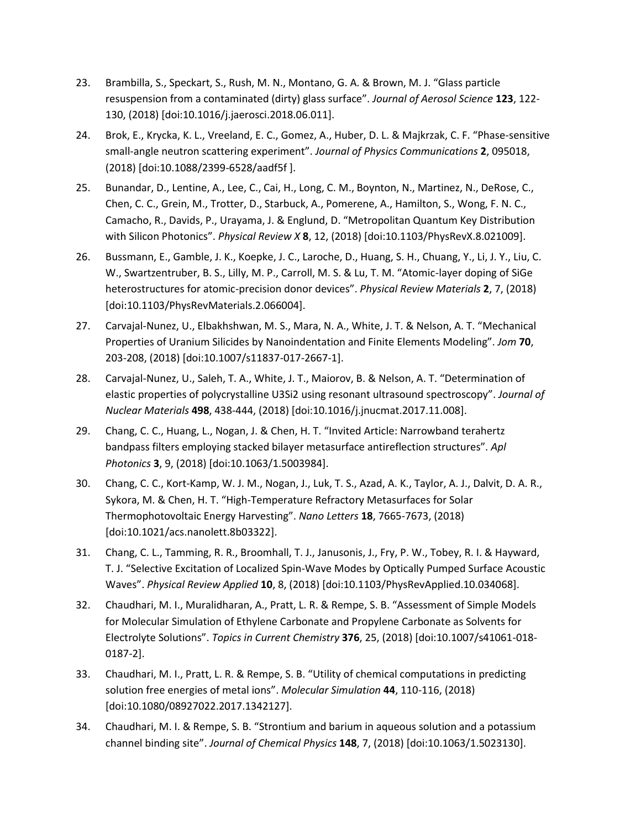- 23. Brambilla, S., Speckart, S., Rush, M. N., Montano, G. A. & Brown, M. J. "Glass particle resuspension from a contaminated (dirty) glass surface". *Journal of Aerosol Science* **123**, 122- 130, (2018) [doi:10.1016/j.jaerosci.2018.06.011].
- 24. Brok, E., Krycka, K. L., Vreeland, E. C., Gomez, A., Huber, D. L. & Majkrzak, C. F. "Phase-sensitive small-angle neutron scattering experiment". *Journal of Physics Communications* **2**, 095018, (2018) [doi:10.1088/2399-6528/aadf5f ].
- 25. Bunandar, D., Lentine, A., Lee, C., Cai, H., Long, C. M., Boynton, N., Martinez, N., DeRose, C., Chen, C. C., Grein, M., Trotter, D., Starbuck, A., Pomerene, A., Hamilton, S., Wong, F. N. C., Camacho, R., Davids, P., Urayama, J. & Englund, D. "Metropolitan Quantum Key Distribution with Silicon Photonics". *Physical Review X* **8**, 12, (2018) [doi:10.1103/PhysRevX.8.021009].
- 26. Bussmann, E., Gamble, J. K., Koepke, J. C., Laroche, D., Huang, S. H., Chuang, Y., Li, J. Y., Liu, C. W., Swartzentruber, B. S., Lilly, M. P., Carroll, M. S. & Lu, T. M. "Atomic-layer doping of SiGe heterostructures for atomic-precision donor devices". *Physical Review Materials* **2**, 7, (2018) [doi:10.1103/PhysRevMaterials.2.066004].
- 27. Carvajal-Nunez, U., Elbakhshwan, M. S., Mara, N. A., White, J. T. & Nelson, A. T. "Mechanical Properties of Uranium Silicides by Nanoindentation and Finite Elements Modeling". *Jom* **70**, 203-208, (2018) [doi:10.1007/s11837-017-2667-1].
- 28. Carvajal-Nunez, U., Saleh, T. A., White, J. T., Maiorov, B. & Nelson, A. T. "Determination of elastic properties of polycrystalline U3Si2 using resonant ultrasound spectroscopy". *Journal of Nuclear Materials* **498**, 438-444, (2018) [doi:10.1016/j.jnucmat.2017.11.008].
- 29. Chang, C. C., Huang, L., Nogan, J. & Chen, H. T. "Invited Article: Narrowband terahertz bandpass filters employing stacked bilayer metasurface antireflection structures". *Apl Photonics* **3**, 9, (2018) [doi:10.1063/1.5003984].
- 30. Chang, C. C., Kort-Kamp, W. J. M., Nogan, J., Luk, T. S., Azad, A. K., Taylor, A. J., Dalvit, D. A. R., Sykora, M. & Chen, H. T. "High-Temperature Refractory Metasurfaces for Solar Thermophotovoltaic Energy Harvesting". *Nano Letters* **18**, 7665-7673, (2018) [doi:10.1021/acs.nanolett.8b03322].
- 31. Chang, C. L., Tamming, R. R., Broomhall, T. J., Janusonis, J., Fry, P. W., Tobey, R. I. & Hayward, T. J. "Selective Excitation of Localized Spin-Wave Modes by Optically Pumped Surface Acoustic Waves". *Physical Review Applied* **10**, 8, (2018) [doi:10.1103/PhysRevApplied.10.034068].
- 32. Chaudhari, M. I., Muralidharan, A., Pratt, L. R. & Rempe, S. B. "Assessment of Simple Models for Molecular Simulation of Ethylene Carbonate and Propylene Carbonate as Solvents for Electrolyte Solutions". *Topics in Current Chemistry* **376**, 25, (2018) [doi:10.1007/s41061-018- 0187-2].
- 33. Chaudhari, M. I., Pratt, L. R. & Rempe, S. B. "Utility of chemical computations in predicting solution free energies of metal ions". *Molecular Simulation* **44**, 110-116, (2018) [doi:10.1080/08927022.2017.1342127].
- 34. Chaudhari, M. I. & Rempe, S. B. "Strontium and barium in aqueous solution and a potassium channel binding site". *Journal of Chemical Physics* **148**, 7, (2018) [doi:10.1063/1.5023130].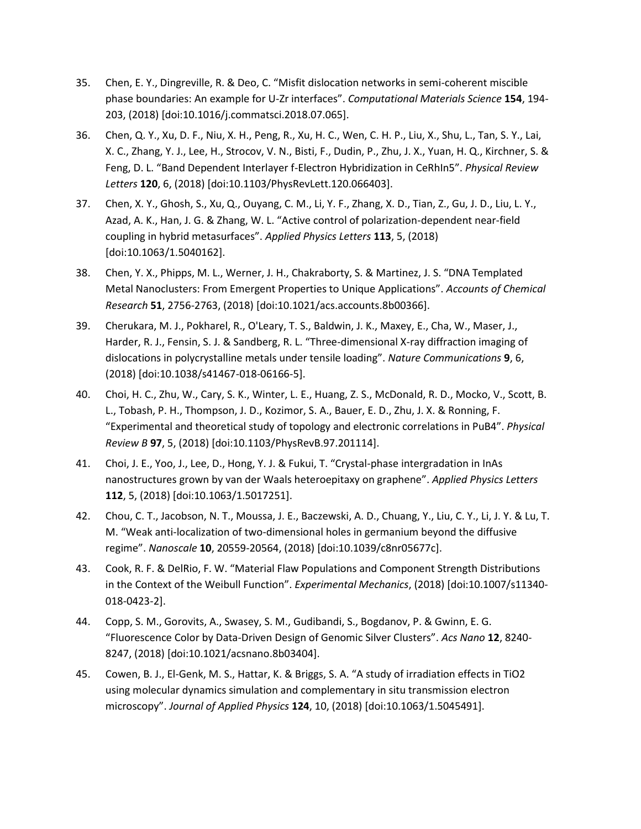- 35. Chen, E. Y., Dingreville, R. & Deo, C. "Misfit dislocation networks in semi-coherent miscible phase boundaries: An example for U-Zr interfaces". *Computational Materials Science* **154**, 194- 203, (2018) [doi:10.1016/j.commatsci.2018.07.065].
- 36. Chen, Q. Y., Xu, D. F., Niu, X. H., Peng, R., Xu, H. C., Wen, C. H. P., Liu, X., Shu, L., Tan, S. Y., Lai, X. C., Zhang, Y. J., Lee, H., Strocov, V. N., Bisti, F., Dudin, P., Zhu, J. X., Yuan, H. Q., Kirchner, S. & Feng, D. L. "Band Dependent Interlayer f-Electron Hybridization in CeRhIn5". *Physical Review Letters* **120**, 6, (2018) [doi:10.1103/PhysRevLett.120.066403].
- 37. Chen, X. Y., Ghosh, S., Xu, Q., Ouyang, C. M., Li, Y. F., Zhang, X. D., Tian, Z., Gu, J. D., Liu, L. Y., Azad, A. K., Han, J. G. & Zhang, W. L. "Active control of polarization-dependent near-field coupling in hybrid metasurfaces". *Applied Physics Letters* **113**, 5, (2018) [doi:10.1063/1.5040162].
- 38. Chen, Y. X., Phipps, M. L., Werner, J. H., Chakraborty, S. & Martinez, J. S. "DNA Templated Metal Nanoclusters: From Emergent Properties to Unique Applications". *Accounts of Chemical Research* **51**, 2756-2763, (2018) [doi:10.1021/acs.accounts.8b00366].
- 39. Cherukara, M. J., Pokharel, R., O'Leary, T. S., Baldwin, J. K., Maxey, E., Cha, W., Maser, J., Harder, R. J., Fensin, S. J. & Sandberg, R. L. "Three-dimensional X-ray diffraction imaging of dislocations in polycrystalline metals under tensile loading". *Nature Communications* **9**, 6, (2018) [doi:10.1038/s41467-018-06166-5].
- 40. Choi, H. C., Zhu, W., Cary, S. K., Winter, L. E., Huang, Z. S., McDonald, R. D., Mocko, V., Scott, B. L., Tobash, P. H., Thompson, J. D., Kozimor, S. A., Bauer, E. D., Zhu, J. X. & Ronning, F. "Experimental and theoretical study of topology and electronic correlations in PuB4". *Physical Review B* **97**, 5, (2018) [doi:10.1103/PhysRevB.97.201114].
- 41. Choi, J. E., Yoo, J., Lee, D., Hong, Y. J. & Fukui, T. "Crystal-phase intergradation in InAs nanostructures grown by van der Waals heteroepitaxy on graphene". *Applied Physics Letters* **112**, 5, (2018) [doi:10.1063/1.5017251].
- 42. Chou, C. T., Jacobson, N. T., Moussa, J. E., Baczewski, A. D., Chuang, Y., Liu, C. Y., Li, J. Y. & Lu, T. M. "Weak anti-localization of two-dimensional holes in germanium beyond the diffusive regime". *Nanoscale* **10**, 20559-20564, (2018) [doi:10.1039/c8nr05677c].
- 43. Cook, R. F. & DelRio, F. W. "Material Flaw Populations and Component Strength Distributions in the Context of the Weibull Function". *Experimental Mechanics*, (2018) [doi:10.1007/s11340- 018-0423-2].
- 44. Copp, S. M., Gorovits, A., Swasey, S. M., Gudibandi, S., Bogdanov, P. & Gwinn, E. G. "Fluorescence Color by Data-Driven Design of Genomic Silver Clusters". *Acs Nano* **12**, 8240- 8247, (2018) [doi:10.1021/acsnano.8b03404].
- 45. Cowen, B. J., El-Genk, M. S., Hattar, K. & Briggs, S. A. "A study of irradiation effects in TiO2 using molecular dynamics simulation and complementary in situ transmission electron microscopy". *Journal of Applied Physics* **124**, 10, (2018) [doi:10.1063/1.5045491].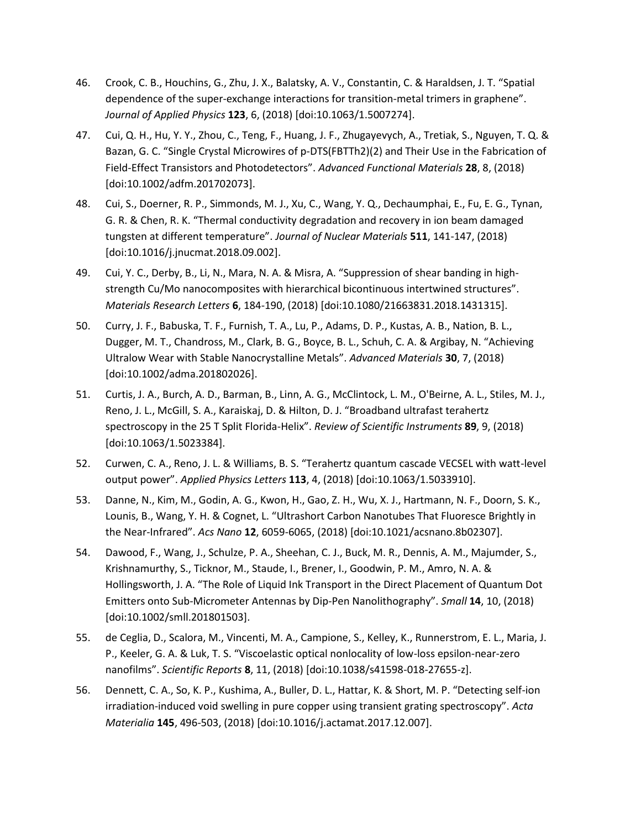- 46. Crook, C. B., Houchins, G., Zhu, J. X., Balatsky, A. V., Constantin, C. & Haraldsen, J. T. "Spatial dependence of the super-exchange interactions for transition-metal trimers in graphene". *Journal of Applied Physics* **123**, 6, (2018) [doi:10.1063/1.5007274].
- 47. Cui, Q. H., Hu, Y. Y., Zhou, C., Teng, F., Huang, J. F., Zhugayevych, A., Tretiak, S., Nguyen, T. Q. & Bazan, G. C. "Single Crystal Microwires of p-DTS(FBTTh2)(2) and Their Use in the Fabrication of Field-Effect Transistors and Photodetectors". *Advanced Functional Materials* **28**, 8, (2018) [doi:10.1002/adfm.201702073].
- 48. Cui, S., Doerner, R. P., Simmonds, M. J., Xu, C., Wang, Y. Q., Dechaumphai, E., Fu, E. G., Tynan, G. R. & Chen, R. K. "Thermal conductivity degradation and recovery in ion beam damaged tungsten at different temperature". *Journal of Nuclear Materials* **511**, 141-147, (2018) [doi:10.1016/j.jnucmat.2018.09.002].
- 49. Cui, Y. C., Derby, B., Li, N., Mara, N. A. & Misra, A. "Suppression of shear banding in highstrength Cu/Mo nanocomposites with hierarchical bicontinuous intertwined structures". *Materials Research Letters* **6**, 184-190, (2018) [doi:10.1080/21663831.2018.1431315].
- 50. Curry, J. F., Babuska, T. F., Furnish, T. A., Lu, P., Adams, D. P., Kustas, A. B., Nation, B. L., Dugger, M. T., Chandross, M., Clark, B. G., Boyce, B. L., Schuh, C. A. & Argibay, N. "Achieving Ultralow Wear with Stable Nanocrystalline Metals". *Advanced Materials* **30**, 7, (2018) [doi:10.1002/adma.201802026].
- 51. Curtis, J. A., Burch, A. D., Barman, B., Linn, A. G., McClintock, L. M., O'Beirne, A. L., Stiles, M. J., Reno, J. L., McGill, S. A., Karaiskaj, D. & Hilton, D. J. "Broadband ultrafast terahertz spectroscopy in the 25 T Split Florida-Helix". *Review of Scientific Instruments* **89**, 9, (2018) [doi:10.1063/1.5023384].
- 52. Curwen, C. A., Reno, J. L. & Williams, B. S. "Terahertz quantum cascade VECSEL with watt-level output power". *Applied Physics Letters* **113**, 4, (2018) [doi:10.1063/1.5033910].
- 53. Danne, N., Kim, M., Godin, A. G., Kwon, H., Gao, Z. H., Wu, X. J., Hartmann, N. F., Doorn, S. K., Lounis, B., Wang, Y. H. & Cognet, L. "Ultrashort Carbon Nanotubes That Fluoresce Brightly in the Near-Infrared". *Acs Nano* **12**, 6059-6065, (2018) [doi:10.1021/acsnano.8b02307].
- 54. Dawood, F., Wang, J., Schulze, P. A., Sheehan, C. J., Buck, M. R., Dennis, A. M., Majumder, S., Krishnamurthy, S., Ticknor, M., Staude, I., Brener, I., Goodwin, P. M., Amro, N. A. & Hollingsworth, J. A. "The Role of Liquid Ink Transport in the Direct Placement of Quantum Dot Emitters onto Sub-Micrometer Antennas by Dip-Pen Nanolithography". *Small* **14**, 10, (2018) [doi:10.1002/smll.201801503].
- 55. de Ceglia, D., Scalora, M., Vincenti, M. A., Campione, S., Kelley, K., Runnerstrom, E. L., Maria, J. P., Keeler, G. A. & Luk, T. S. "Viscoelastic optical nonlocality of low-loss epsilon-near-zero nanofilms". *Scientific Reports* **8**, 11, (2018) [doi:10.1038/s41598-018-27655-z].
- 56. Dennett, C. A., So, K. P., Kushima, A., Buller, D. L., Hattar, K. & Short, M. P. "Detecting self-ion irradiation-induced void swelling in pure copper using transient grating spectroscopy". *Acta Materialia* **145**, 496-503, (2018) [doi:10.1016/j.actamat.2017.12.007].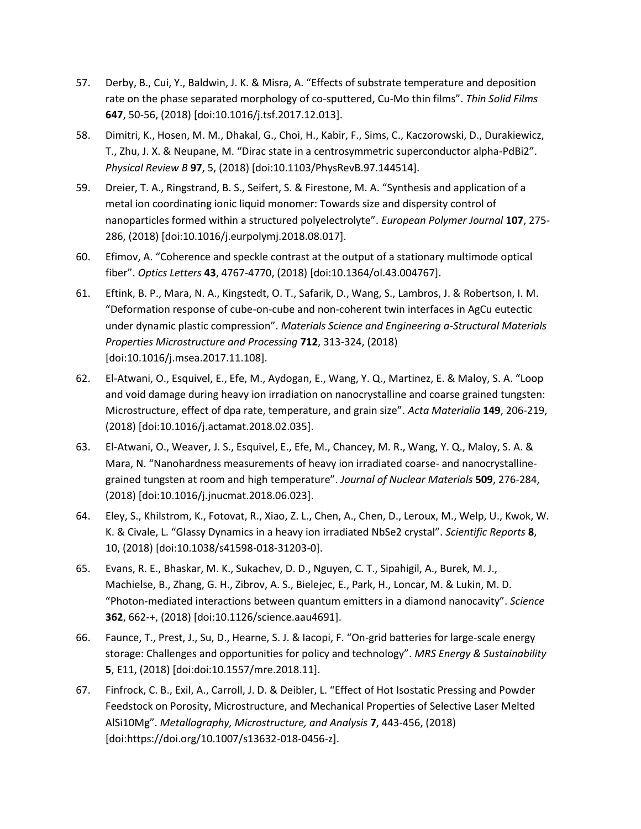- 57. Derby, B., Cui, Y., Baldwin, J. K. & Misra, A. "Effects of substrate temperature and deposition rate on the phase separated morphology of co-sputtered, Cu-Mo thin films". *Thin Solid Films* **647**, 50-56, (2018) [doi:10.1016/j.tsf.2017.12.013].
- 58. Dimitri, K., Hosen, M. M., Dhakal, G., Choi, H., Kabir, F., Sims, C., Kaczorowski, D., Durakiewicz, T., Zhu, J. X. & Neupane, M. "Dirac state in a centrosymmetric superconductor alpha-PdBi2". *Physical Review B* **97**, 5, (2018) [doi:10.1103/PhysRevB.97.144514].
- 59. Dreier, T. A., Ringstrand, B. S., Seifert, S. & Firestone, M. A. "Synthesis and application of a metal ion coordinating ionic liquid monomer: Towards size and dispersity control of nanoparticles formed within a structured polyelectrolyte". *European Polymer Journal* **107**, 275- 286, (2018) [doi:10.1016/j.eurpolymj.2018.08.017].
- 60. Efimov, A. "Coherence and speckle contrast at the output of a stationary multimode optical fiber". *Optics Letters* **43**, 4767-4770, (2018) [doi:10.1364/ol.43.004767].
- 61. Eftink, B. P., Mara, N. A., Kingstedt, O. T., Safarik, D., Wang, S., Lambros, J. & Robertson, I. M. "Deformation response of cube-on-cube and non-coherent twin interfaces in AgCu eutectic under dynamic plastic compression". *Materials Science and Engineering a-Structural Materials Properties Microstructure and Processing* **712**, 313-324, (2018) [doi:10.1016/j.msea.2017.11.108].
- 62. El-Atwani, O., Esquivel, E., Efe, M., Aydogan, E., Wang, Y. Q., Martinez, E. & Maloy, S. A. "Loop and void damage during heavy ion irradiation on nanocrystalline and coarse grained tungsten: Microstructure, effect of dpa rate, temperature, and grain size". *Acta Materialia* **149**, 206-219, (2018) [doi:10.1016/j.actamat.2018.02.035].
- 63. El-Atwani, O., Weaver, J. S., Esquivel, E., Efe, M., Chancey, M. R., Wang, Y. Q., Maloy, S. A. & Mara, N. "Nanohardness measurements of heavy ion irradiated coarse- and nanocrystallinegrained tungsten at room and high temperature". *Journal of Nuclear Materials* **509**, 276-284, (2018) [doi:10.1016/j.jnucmat.2018.06.023].
- 64. Eley, S., Khilstrom, K., Fotovat, R., Xiao, Z. L., Chen, A., Chen, D., Leroux, M., Welp, U., Kwok, W. K. & Civale, L. "Glassy Dynamics in a heavy ion irradiated NbSe2 crystal". *Scientific Reports* **8**, 10, (2018) [doi:10.1038/s41598-018-31203-0].
- 65. Evans, R. E., Bhaskar, M. K., Sukachev, D. D., Nguyen, C. T., Sipahigil, A., Burek, M. J., Machielse, B., Zhang, G. H., Zibrov, A. S., Bielejec, E., Park, H., Loncar, M. & Lukin, M. D. "Photon-mediated interactions between quantum emitters in a diamond nanocavity". *Science* **362**, 662-+, (2018) [doi:10.1126/science.aau4691].
- 66. Faunce, T., Prest, J., Su, D., Hearne, S. J. & Iacopi, F. "On-grid batteries for large-scale energy storage: Challenges and opportunities for policy and technology". *MRS Energy & Sustainability* **5**, E11, (2018) [doi:doi:10.1557/mre.2018.11].
- 67. Finfrock, C. B., Exil, A., Carroll, J. D. & Deibler, L. "Effect of Hot Isostatic Pressing and Powder Feedstock on Porosity, Microstructure, and Mechanical Properties of Selective Laser Melted AlSi10Mg". *Metallography, Microstructure, and Analysis* **7**, 443-456, (2018) [doi:https://doi.org/10.1007/s13632-018-0456-z].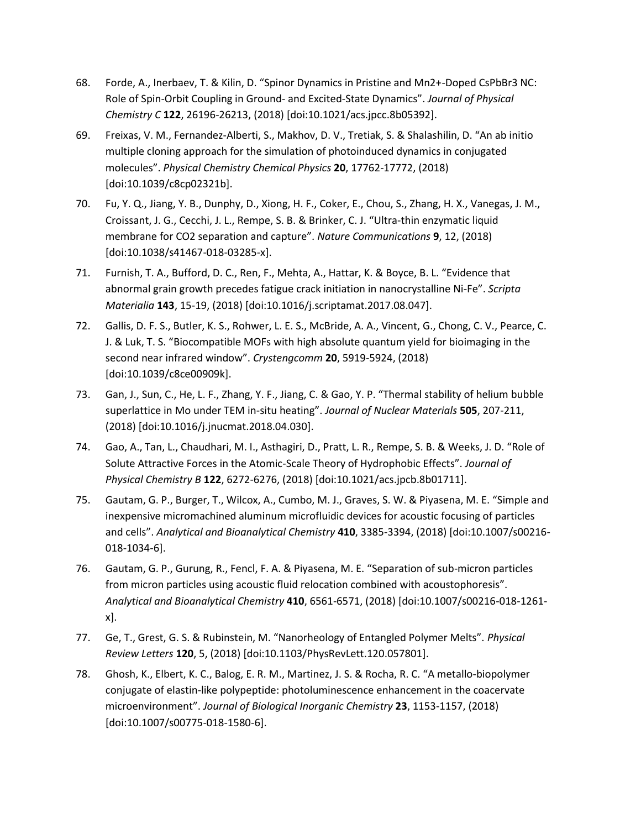- 68. Forde, A., Inerbaev, T. & Kilin, D. "Spinor Dynamics in Pristine and Mn2+-Doped CsPbBr3 NC: Role of Spin-Orbit Coupling in Ground- and Excited-State Dynamics". *Journal of Physical Chemistry C* **122**, 26196-26213, (2018) [doi:10.1021/acs.jpcc.8b05392].
- 69. Freixas, V. M., Fernandez-Alberti, S., Makhov, D. V., Tretiak, S. & Shalashilin, D. "An ab initio multiple cloning approach for the simulation of photoinduced dynamics in conjugated molecules". *Physical Chemistry Chemical Physics* **20**, 17762-17772, (2018) [doi:10.1039/c8cp02321b].
- 70. Fu, Y. Q., Jiang, Y. B., Dunphy, D., Xiong, H. F., Coker, E., Chou, S., Zhang, H. X., Vanegas, J. M., Croissant, J. G., Cecchi, J. L., Rempe, S. B. & Brinker, C. J. "Ultra-thin enzymatic liquid membrane for CO2 separation and capture". *Nature Communications* **9**, 12, (2018) [doi:10.1038/s41467-018-03285-x].
- 71. Furnish, T. A., Bufford, D. C., Ren, F., Mehta, A., Hattar, K. & Boyce, B. L. "Evidence that abnormal grain growth precedes fatigue crack initiation in nanocrystalline Ni-Fe". *Scripta Materialia* **143**, 15-19, (2018) [doi:10.1016/j.scriptamat.2017.08.047].
- 72. Gallis, D. F. S., Butler, K. S., Rohwer, L. E. S., McBride, A. A., Vincent, G., Chong, C. V., Pearce, C. J. & Luk, T. S. "Biocompatible MOFs with high absolute quantum yield for bioimaging in the second near infrared window". *Crystengcomm* **20**, 5919-5924, (2018) [doi:10.1039/c8ce00909k].
- 73. Gan, J., Sun, C., He, L. F., Zhang, Y. F., Jiang, C. & Gao, Y. P. "Thermal stability of helium bubble superlattice in Mo under TEM in-situ heating". *Journal of Nuclear Materials* **505**, 207-211, (2018) [doi:10.1016/j.jnucmat.2018.04.030].
- 74. Gao, A., Tan, L., Chaudhari, M. I., Asthagiri, D., Pratt, L. R., Rempe, S. B. & Weeks, J. D. "Role of Solute Attractive Forces in the Atomic-Scale Theory of Hydrophobic Effects". *Journal of Physical Chemistry B* **122**, 6272-6276, (2018) [doi:10.1021/acs.jpcb.8b01711].
- 75. Gautam, G. P., Burger, T., Wilcox, A., Cumbo, M. J., Graves, S. W. & Piyasena, M. E. "Simple and inexpensive micromachined aluminum microfluidic devices for acoustic focusing of particles and cells". *Analytical and Bioanalytical Chemistry* **410**, 3385-3394, (2018) [doi:10.1007/s00216- 018-1034-6].
- 76. Gautam, G. P., Gurung, R., Fencl, F. A. & Piyasena, M. E. "Separation of sub-micron particles from micron particles using acoustic fluid relocation combined with acoustophoresis". *Analytical and Bioanalytical Chemistry* **410**, 6561-6571, (2018) [doi:10.1007/s00216-018-1261 x].
- 77. Ge, T., Grest, G. S. & Rubinstein, M. "Nanorheology of Entangled Polymer Melts". *Physical Review Letters* **120**, 5, (2018) [doi:10.1103/PhysRevLett.120.057801].
- 78. Ghosh, K., Elbert, K. C., Balog, E. R. M., Martinez, J. S. & Rocha, R. C. "A metallo-biopolymer conjugate of elastin-like polypeptide: photoluminescence enhancement in the coacervate microenvironment". *Journal of Biological Inorganic Chemistry* **23**, 1153-1157, (2018) [doi:10.1007/s00775-018-1580-6].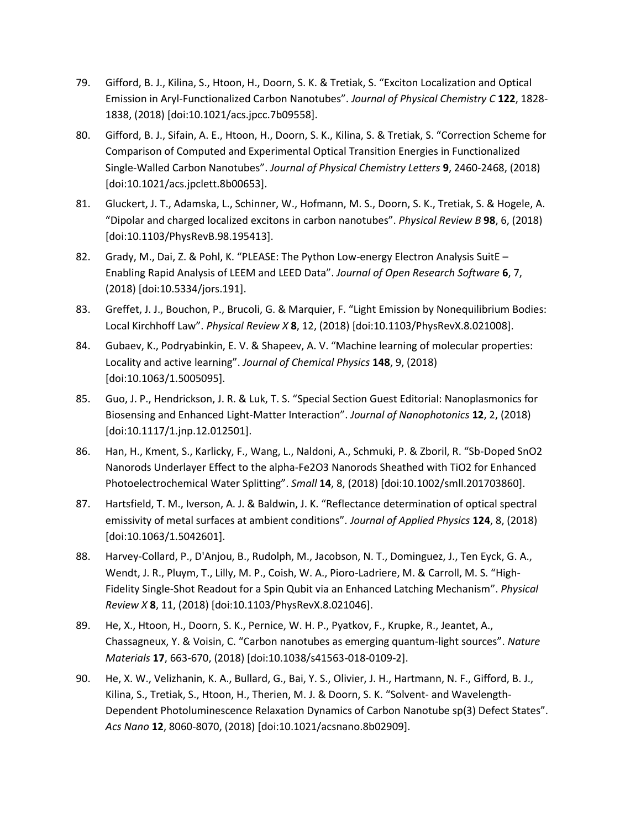- 79. Gifford, B. J., Kilina, S., Htoon, H., Doorn, S. K. & Tretiak, S. "Exciton Localization and Optical Emission in Aryl-Functionalized Carbon Nanotubes". *Journal of Physical Chemistry C* **122**, 1828- 1838, (2018) [doi:10.1021/acs.jpcc.7b09558].
- 80. Gifford, B. J., Sifain, A. E., Htoon, H., Doorn, S. K., Kilina, S. & Tretiak, S. "Correction Scheme for Comparison of Computed and Experimental Optical Transition Energies in Functionalized Single-Walled Carbon Nanotubes". *Journal of Physical Chemistry Letters* **9**, 2460-2468, (2018) [doi:10.1021/acs.jpclett.8b00653].
- 81. Gluckert, J. T., Adamska, L., Schinner, W., Hofmann, M. S., Doorn, S. K., Tretiak, S. & Hogele, A. "Dipolar and charged localized excitons in carbon nanotubes". *Physical Review B* **98**, 6, (2018) [doi:10.1103/PhysRevB.98.195413].
- 82. Grady, M., Dai, Z. & Pohl, K. "PLEASE: The Python Low-energy Electron Analysis SuitE Enabling Rapid Analysis of LEEM and LEED Data". *Journal of Open Research Software* **6**, 7, (2018) [doi:10.5334/jors.191].
- 83. Greffet, J. J., Bouchon, P., Brucoli, G. & Marquier, F. "Light Emission by Nonequilibrium Bodies: Local Kirchhoff Law". *Physical Review X* **8**, 12, (2018) [doi:10.1103/PhysRevX.8.021008].
- 84. Gubaev, K., Podryabinkin, E. V. & Shapeev, A. V. "Machine learning of molecular properties: Locality and active learning". *Journal of Chemical Physics* **148**, 9, (2018) [doi:10.1063/1.5005095].
- 85. Guo, J. P., Hendrickson, J. R. & Luk, T. S. "Special Section Guest Editorial: Nanoplasmonics for Biosensing and Enhanced Light-Matter Interaction". *Journal of Nanophotonics* **12**, 2, (2018) [doi:10.1117/1.jnp.12.012501].
- 86. Han, H., Kment, S., Karlicky, F., Wang, L., Naldoni, A., Schmuki, P. & Zboril, R. "Sb-Doped SnO2 Nanorods Underlayer Effect to the alpha-Fe2O3 Nanorods Sheathed with TiO2 for Enhanced Photoelectrochemical Water Splitting". *Small* **14**, 8, (2018) [doi:10.1002/smll.201703860].
- 87. Hartsfield, T. M., Iverson, A. J. & Baldwin, J. K. "Reflectance determination of optical spectral emissivity of metal surfaces at ambient conditions". *Journal of Applied Physics* **124**, 8, (2018) [doi:10.1063/1.5042601].
- 88. Harvey-Collard, P., D'Anjou, B., Rudolph, M., Jacobson, N. T., Dominguez, J., Ten Eyck, G. A., Wendt, J. R., Pluym, T., Lilly, M. P., Coish, W. A., Pioro-Ladriere, M. & Carroll, M. S. "High-Fidelity Single-Shot Readout for a Spin Qubit via an Enhanced Latching Mechanism". *Physical Review X* **8**, 11, (2018) [doi:10.1103/PhysRevX.8.021046].
- 89. He, X., Htoon, H., Doorn, S. K., Pernice, W. H. P., Pyatkov, F., Krupke, R., Jeantet, A., Chassagneux, Y. & Voisin, C. "Carbon nanotubes as emerging quantum-light sources". *Nature Materials* **17**, 663-670, (2018) [doi:10.1038/s41563-018-0109-2].
- 90. He, X. W., Velizhanin, K. A., Bullard, G., Bai, Y. S., Olivier, J. H., Hartmann, N. F., Gifford, B. J., Kilina, S., Tretiak, S., Htoon, H., Therien, M. J. & Doorn, S. K. "Solvent- and Wavelength-Dependent Photoluminescence Relaxation Dynamics of Carbon Nanotube sp(3) Defect States". *Acs Nano* **12**, 8060-8070, (2018) [doi:10.1021/acsnano.8b02909].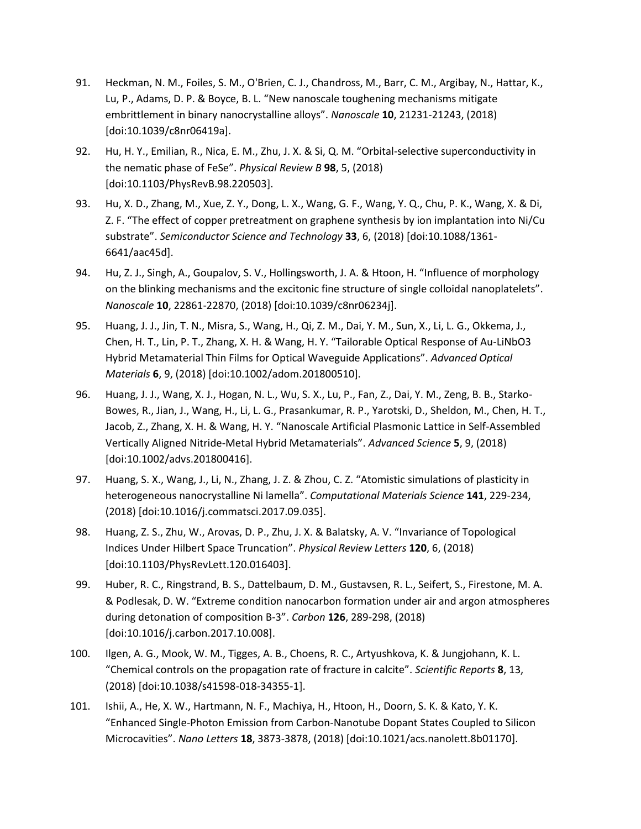- 91. Heckman, N. M., Foiles, S. M., O'Brien, C. J., Chandross, M., Barr, C. M., Argibay, N., Hattar, K., Lu, P., Adams, D. P. & Boyce, B. L. "New nanoscale toughening mechanisms mitigate embrittlement in binary nanocrystalline alloys". *Nanoscale* **10**, 21231-21243, (2018) [doi:10.1039/c8nr06419a].
- 92. Hu, H. Y., Emilian, R., Nica, E. M., Zhu, J. X. & Si, Q. M. "Orbital-selective superconductivity in the nematic phase of FeSe". *Physical Review B* **98**, 5, (2018) [doi:10.1103/PhysRevB.98.220503].
- 93. Hu, X. D., Zhang, M., Xue, Z. Y., Dong, L. X., Wang, G. F., Wang, Y. Q., Chu, P. K., Wang, X. & Di, Z. F. "The effect of copper pretreatment on graphene synthesis by ion implantation into Ni/Cu substrate". *Semiconductor Science and Technology* **33**, 6, (2018) [doi:10.1088/1361- 6641/aac45d].
- 94. Hu, Z. J., Singh, A., Goupalov, S. V., Hollingsworth, J. A. & Htoon, H. "Influence of morphology on the blinking mechanisms and the excitonic fine structure of single colloidal nanoplatelets". *Nanoscale* **10**, 22861-22870, (2018) [doi:10.1039/c8nr06234j].
- 95. Huang, J. J., Jin, T. N., Misra, S., Wang, H., Qi, Z. M., Dai, Y. M., Sun, X., Li, L. G., Okkema, J., Chen, H. T., Lin, P. T., Zhang, X. H. & Wang, H. Y. "Tailorable Optical Response of Au-LiNbO3 Hybrid Metamaterial Thin Films for Optical Waveguide Applications". *Advanced Optical Materials* **6**, 9, (2018) [doi:10.1002/adom.201800510].
- 96. Huang, J. J., Wang, X. J., Hogan, N. L., Wu, S. X., Lu, P., Fan, Z., Dai, Y. M., Zeng, B. B., Starko-Bowes, R., Jian, J., Wang, H., Li, L. G., Prasankumar, R. P., Yarotski, D., Sheldon, M., Chen, H. T., Jacob, Z., Zhang, X. H. & Wang, H. Y. "Nanoscale Artificial Plasmonic Lattice in Self-Assembled Vertically Aligned Nitride-Metal Hybrid Metamaterials". *Advanced Science* **5**, 9, (2018) [doi:10.1002/advs.201800416].
- 97. Huang, S. X., Wang, J., Li, N., Zhang, J. Z. & Zhou, C. Z. "Atomistic simulations of plasticity in heterogeneous nanocrystalline Ni lamella". *Computational Materials Science* **141**, 229-234, (2018) [doi:10.1016/j.commatsci.2017.09.035].
- 98. Huang, Z. S., Zhu, W., Arovas, D. P., Zhu, J. X. & Balatsky, A. V. "Invariance of Topological Indices Under Hilbert Space Truncation". *Physical Review Letters* **120**, 6, (2018) [doi:10.1103/PhysRevLett.120.016403].
- 99. Huber, R. C., Ringstrand, B. S., Dattelbaum, D. M., Gustavsen, R. L., Seifert, S., Firestone, M. A. & Podlesak, D. W. "Extreme condition nanocarbon formation under air and argon atmospheres during detonation of composition B-3". *Carbon* **126**, 289-298, (2018) [doi:10.1016/j.carbon.2017.10.008].
- 100. Ilgen, A. G., Mook, W. M., Tigges, A. B., Choens, R. C., Artyushkova, K. & Jungjohann, K. L. "Chemical controls on the propagation rate of fracture in calcite". *Scientific Reports* **8**, 13, (2018) [doi:10.1038/s41598-018-34355-1].
- 101. Ishii, A., He, X. W., Hartmann, N. F., Machiya, H., Htoon, H., Doorn, S. K. & Kato, Y. K. "Enhanced Single-Photon Emission from Carbon-Nanotube Dopant States Coupled to Silicon Microcavities". *Nano Letters* **18**, 3873-3878, (2018) [doi:10.1021/acs.nanolett.8b01170].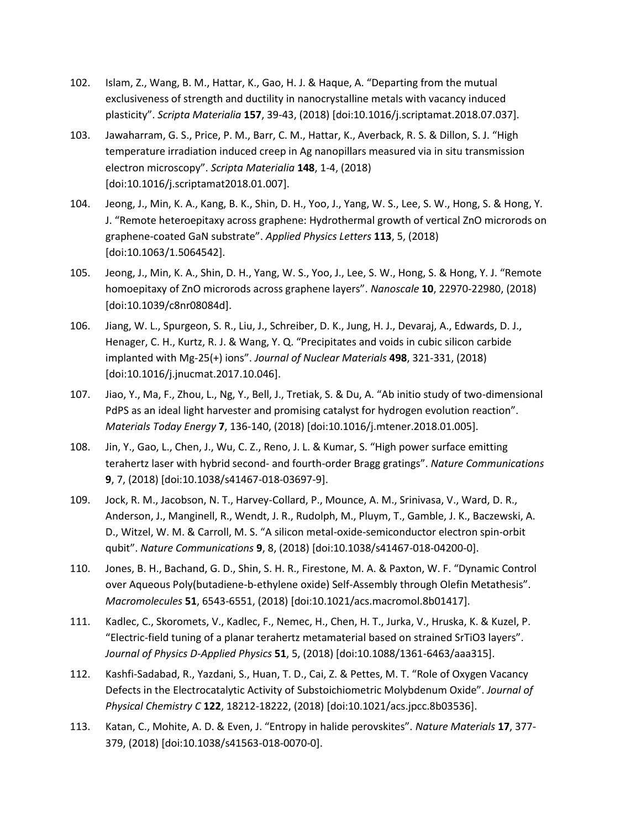- 102. Islam, Z., Wang, B. M., Hattar, K., Gao, H. J. & Haque, A. "Departing from the mutual exclusiveness of strength and ductility in nanocrystalline metals with vacancy induced plasticity". *Scripta Materialia* **157**, 39-43, (2018) [doi:10.1016/j.scriptamat.2018.07.037].
- 103. Jawaharram, G. S., Price, P. M., Barr, C. M., Hattar, K., Averback, R. S. & Dillon, S. J. "High temperature irradiation induced creep in Ag nanopillars measured via in situ transmission electron microscopy". *Scripta Materialia* **148**, 1-4, (2018) [doi:10.1016/j.scriptamat2018.01.007].
- 104. Jeong, J., Min, K. A., Kang, B. K., Shin, D. H., Yoo, J., Yang, W. S., Lee, S. W., Hong, S. & Hong, Y. J. "Remote heteroepitaxy across graphene: Hydrothermal growth of vertical ZnO microrods on graphene-coated GaN substrate". *Applied Physics Letters* **113**, 5, (2018) [doi:10.1063/1.5064542].
- 105. Jeong, J., Min, K. A., Shin, D. H., Yang, W. S., Yoo, J., Lee, S. W., Hong, S. & Hong, Y. J. "Remote homoepitaxy of ZnO microrods across graphene layers". *Nanoscale* **10**, 22970-22980, (2018) [doi:10.1039/c8nr08084d].
- 106. Jiang, W. L., Spurgeon, S. R., Liu, J., Schreiber, D. K., Jung, H. J., Devaraj, A., Edwards, D. J., Henager, C. H., Kurtz, R. J. & Wang, Y. Q. "Precipitates and voids in cubic silicon carbide implanted with Mg-25(+) ions". *Journal of Nuclear Materials* **498**, 321-331, (2018) [doi:10.1016/j.jnucmat.2017.10.046].
- 107. Jiao, Y., Ma, F., Zhou, L., Ng, Y., Bell, J., Tretiak, S. & Du, A. "Ab initio study of two-dimensional PdPS as an ideal light harvester and promising catalyst for hydrogen evolution reaction". *Materials Today Energy* **7**, 136-140, (2018) [doi:10.1016/j.mtener.2018.01.005].
- 108. Jin, Y., Gao, L., Chen, J., Wu, C. Z., Reno, J. L. & Kumar, S. "High power surface emitting terahertz laser with hybrid second- and fourth-order Bragg gratings". *Nature Communications* **9**, 7, (2018) [doi:10.1038/s41467-018-03697-9].
- 109. Jock, R. M., Jacobson, N. T., Harvey-Collard, P., Mounce, A. M., Srinivasa, V., Ward, D. R., Anderson, J., Manginell, R., Wendt, J. R., Rudolph, M., Pluym, T., Gamble, J. K., Baczewski, A. D., Witzel, W. M. & Carroll, M. S. "A silicon metal-oxide-semiconductor electron spin-orbit qubit". *Nature Communications* **9**, 8, (2018) [doi:10.1038/s41467-018-04200-0].
- 110. Jones, B. H., Bachand, G. D., Shin, S. H. R., Firestone, M. A. & Paxton, W. F. "Dynamic Control over Aqueous Poly(butadiene-b-ethylene oxide) Self-Assembly through Olefin Metathesis". *Macromolecules* **51**, 6543-6551, (2018) [doi:10.1021/acs.macromol.8b01417].
- 111. Kadlec, C., Skoromets, V., Kadlec, F., Nemec, H., Chen, H. T., Jurka, V., Hruska, K. & Kuzel, P. "Electric-field tuning of a planar terahertz metamaterial based on strained SrTiO3 layers". *Journal of Physics D-Applied Physics* **51**, 5, (2018) [doi:10.1088/1361-6463/aaa315].
- 112. Kashfi-Sadabad, R., Yazdani, S., Huan, T. D., Cai, Z. & Pettes, M. T. "Role of Oxygen Vacancy Defects in the Electrocatalytic Activity of Substoichiometric Molybdenum Oxide". *Journal of Physical Chemistry C* **122**, 18212-18222, (2018) [doi:10.1021/acs.jpcc.8b03536].
- 113. Katan, C., Mohite, A. D. & Even, J. "Entropy in halide perovskites". *Nature Materials* **17**, 377- 379, (2018) [doi:10.1038/s41563-018-0070-0].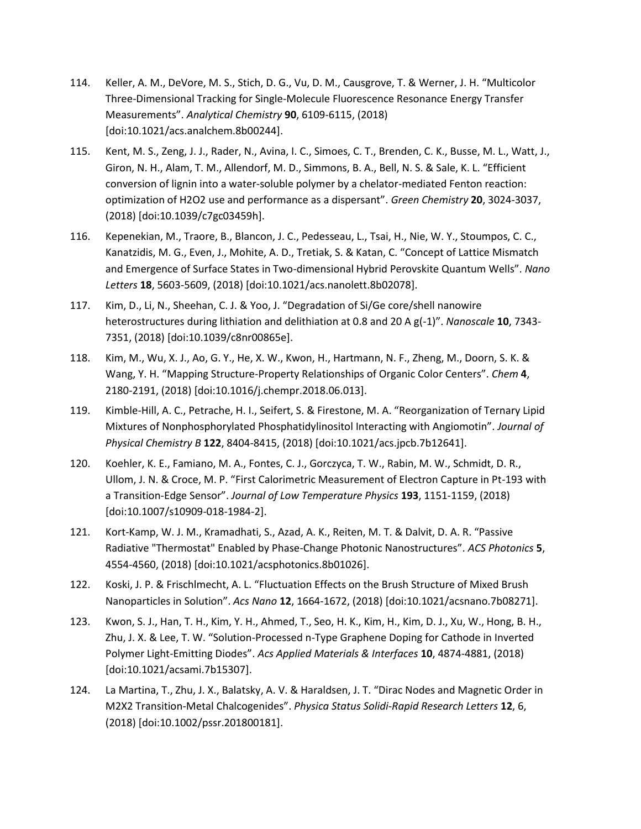- 114. Keller, A. M., DeVore, M. S., Stich, D. G., Vu, D. M., Causgrove, T. & Werner, J. H. "Multicolor Three-Dimensional Tracking for Single-Molecule Fluorescence Resonance Energy Transfer Measurements". *Analytical Chemistry* **90**, 6109-6115, (2018) [doi:10.1021/acs.analchem.8b00244].
- 115. Kent, M. S., Zeng, J. J., Rader, N., Avina, I. C., Simoes, C. T., Brenden, C. K., Busse, M. L., Watt, J., Giron, N. H., Alam, T. M., Allendorf, M. D., Simmons, B. A., Bell, N. S. & Sale, K. L. "Efficient conversion of lignin into a water-soluble polymer by a chelator-mediated Fenton reaction: optimization of H2O2 use and performance as a dispersant". *Green Chemistry* **20**, 3024-3037, (2018) [doi:10.1039/c7gc03459h].
- 116. Kepenekian, M., Traore, B., Blancon, J. C., Pedesseau, L., Tsai, H., Nie, W. Y., Stoumpos, C. C., Kanatzidis, M. G., Even, J., Mohite, A. D., Tretiak, S. & Katan, C. "Concept of Lattice Mismatch and Emergence of Surface States in Two-dimensional Hybrid Perovskite Quantum Wells". *Nano Letters* **18**, 5603-5609, (2018) [doi:10.1021/acs.nanolett.8b02078].
- 117. Kim, D., Li, N., Sheehan, C. J. & Yoo, J. "Degradation of Si/Ge core/shell nanowire heterostructures during lithiation and delithiation at 0.8 and 20 A g(-1)". *Nanoscale* **10**, 7343- 7351, (2018) [doi:10.1039/c8nr00865e].
- 118. Kim, M., Wu, X. J., Ao, G. Y., He, X. W., Kwon, H., Hartmann, N. F., Zheng, M., Doorn, S. K. & Wang, Y. H. "Mapping Structure-Property Relationships of Organic Color Centers". *Chem* **4**, 2180-2191, (2018) [doi:10.1016/j.chempr.2018.06.013].
- 119. Kimble-Hill, A. C., Petrache, H. I., Seifert, S. & Firestone, M. A. "Reorganization of Ternary Lipid Mixtures of Nonphosphorylated Phosphatidylinositol Interacting with Angiomotin". *Journal of Physical Chemistry B* **122**, 8404-8415, (2018) [doi:10.1021/acs.jpcb.7b12641].
- 120. Koehler, K. E., Famiano, M. A., Fontes, C. J., Gorczyca, T. W., Rabin, M. W., Schmidt, D. R., Ullom, J. N. & Croce, M. P. "First Calorimetric Measurement of Electron Capture in Pt-193 with a Transition-Edge Sensor". *Journal of Low Temperature Physics* **193**, 1151-1159, (2018) [doi:10.1007/s10909-018-1984-2].
- 121. Kort-Kamp, W. J. M., Kramadhati, S., Azad, A. K., Reiten, M. T. & Dalvit, D. A. R. "Passive Radiative "Thermostat" Enabled by Phase-Change Photonic Nanostructures". *ACS Photonics* **5**, 4554-4560, (2018) [doi:10.1021/acsphotonics.8b01026].
- 122. Koski, J. P. & Frischlmecht, A. L. "Fluctuation Effects on the Brush Structure of Mixed Brush Nanoparticles in Solution". *Acs Nano* **12**, 1664-1672, (2018) [doi:10.1021/acsnano.7b08271].
- 123. Kwon, S. J., Han, T. H., Kim, Y. H., Ahmed, T., Seo, H. K., Kim, H., Kim, D. J., Xu, W., Hong, B. H., Zhu, J. X. & Lee, T. W. "Solution-Processed n-Type Graphene Doping for Cathode in Inverted Polymer Light-Emitting Diodes". *Acs Applied Materials & Interfaces* **10**, 4874-4881, (2018) [doi:10.1021/acsami.7b15307].
- 124. La Martina, T., Zhu, J. X., Balatsky, A. V. & Haraldsen, J. T. "Dirac Nodes and Magnetic Order in M2X2 Transition-Metal Chalcogenides". *Physica Status Solidi-Rapid Research Letters* **12**, 6, (2018) [doi:10.1002/pssr.201800181].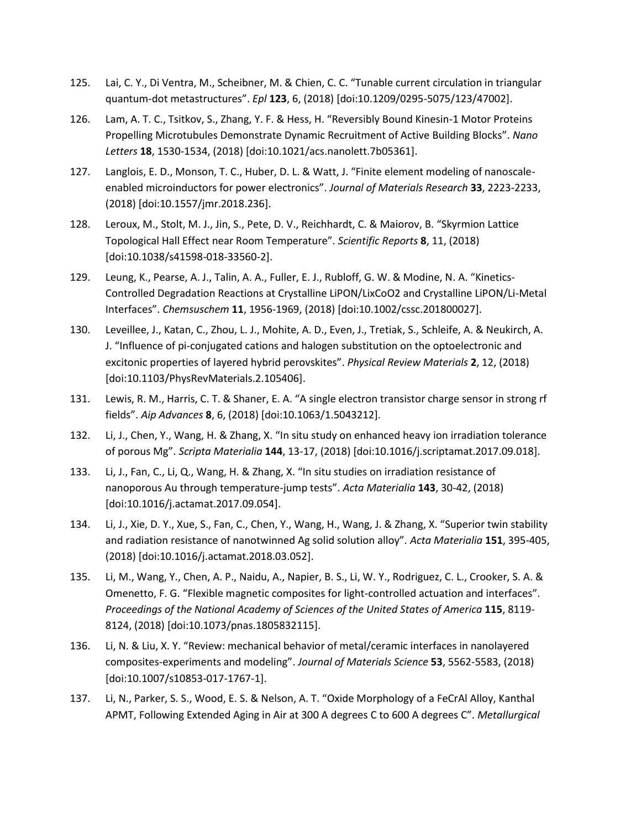- 125. Lai, C. Y., Di Ventra, M., Scheibner, M. & Chien, C. C. "Tunable current circulation in triangular quantum-dot metastructures". *Epl* **123**, 6, (2018) [doi:10.1209/0295-5075/123/47002].
- 126. Lam, A. T. C., Tsitkov, S., Zhang, Y. F. & Hess, H. "Reversibly Bound Kinesin-1 Motor Proteins Propelling Microtubules Demonstrate Dynamic Recruitment of Active Building Blocks". *Nano Letters* **18**, 1530-1534, (2018) [doi:10.1021/acs.nanolett.7b05361].
- 127. Langlois, E. D., Monson, T. C., Huber, D. L. & Watt, J. "Finite element modeling of nanoscaleenabled microinductors for power electronics". *Journal of Materials Research* **33**, 2223-2233, (2018) [doi:10.1557/jmr.2018.236].
- 128. Leroux, M., Stolt, M. J., Jin, S., Pete, D. V., Reichhardt, C. & Maiorov, B. "Skyrmion Lattice Topological Hall Effect near Room Temperature". *Scientific Reports* **8**, 11, (2018) [doi:10.1038/s41598-018-33560-2].
- 129. Leung, K., Pearse, A. J., Talin, A. A., Fuller, E. J., Rubloff, G. W. & Modine, N. A. "Kinetics-Controlled Degradation Reactions at Crystalline LiPON/LixCoO2 and Crystalline LiPON/Li-Metal Interfaces". *Chemsuschem* **11**, 1956-1969, (2018) [doi:10.1002/cssc.201800027].
- 130. Leveillee, J., Katan, C., Zhou, L. J., Mohite, A. D., Even, J., Tretiak, S., Schleife, A. & Neukirch, A. J. "Influence of pi-conjugated cations and halogen substitution on the optoelectronic and excitonic properties of layered hybrid perovskites". *Physical Review Materials* **2**, 12, (2018) [doi:10.1103/PhysRevMaterials.2.105406].
- 131. Lewis, R. M., Harris, C. T. & Shaner, E. A. "A single electron transistor charge sensor in strong rf fields". *Aip Advances* **8**, 6, (2018) [doi:10.1063/1.5043212].
- 132. Li, J., Chen, Y., Wang, H. & Zhang, X. "In situ study on enhanced heavy ion irradiation tolerance of porous Mg". *Scripta Materialia* **144**, 13-17, (2018) [doi:10.1016/j.scriptamat.2017.09.018].
- 133. Li, J., Fan, C., Li, Q., Wang, H. & Zhang, X. "In situ studies on irradiation resistance of nanoporous Au through temperature-jump tests". *Acta Materialia* **143**, 30-42, (2018) [doi:10.1016/j.actamat.2017.09.054].
- 134. Li, J., Xie, D. Y., Xue, S., Fan, C., Chen, Y., Wang, H., Wang, J. & Zhang, X. "Superior twin stability and radiation resistance of nanotwinned Ag solid solution alloy". *Acta Materialia* **151**, 395-405, (2018) [doi:10.1016/j.actamat.2018.03.052].
- 135. Li, M., Wang, Y., Chen, A. P., Naidu, A., Napier, B. S., Li, W. Y., Rodriguez, C. L., Crooker, S. A. & Omenetto, F. G. "Flexible magnetic composites for light-controlled actuation and interfaces". *Proceedings of the National Academy of Sciences of the United States of America* **115**, 8119- 8124, (2018) [doi:10.1073/pnas.1805832115].
- 136. Li, N. & Liu, X. Y. "Review: mechanical behavior of metal/ceramic interfaces in nanolayered composites-experiments and modeling". *Journal of Materials Science* **53**, 5562-5583, (2018) [doi:10.1007/s10853-017-1767-1].
- 137. Li, N., Parker, S. S., Wood, E. S. & Nelson, A. T. "Oxide Morphology of a FeCrAl Alloy, Kanthal APMT, Following Extended Aging in Air at 300 A degrees C to 600 A degrees C". *Metallurgical*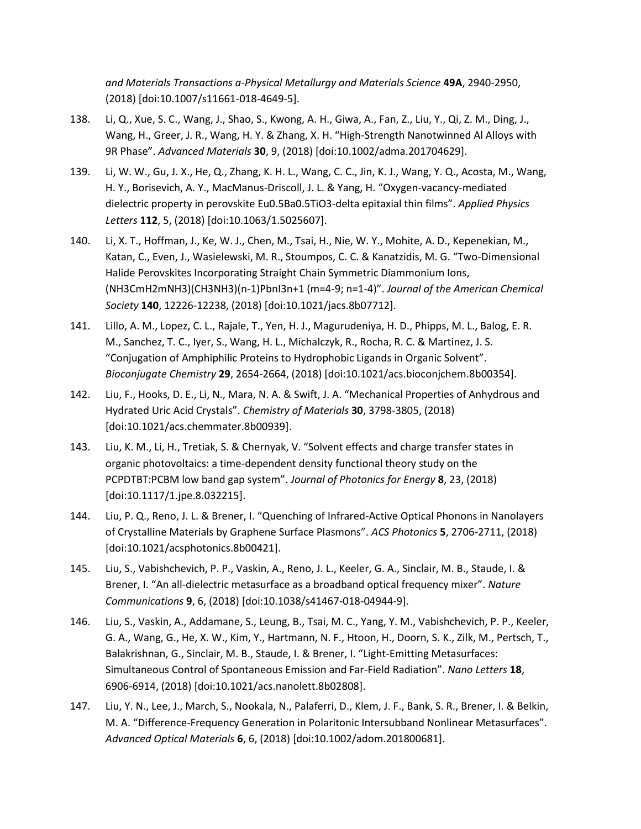*and Materials Transactions a-Physical Metallurgy and Materials Science* **49A**, 2940-2950, (2018) [doi:10.1007/s11661-018-4649-5].

- 138. Li, Q., Xue, S. C., Wang, J., Shao, S., Kwong, A. H., Giwa, A., Fan, Z., Liu, Y., Qi, Z. M., Ding, J., Wang, H., Greer, J. R., Wang, H. Y. & Zhang, X. H. "High-Strength Nanotwinned Al Alloys with 9R Phase". *Advanced Materials* **30**, 9, (2018) [doi:10.1002/adma.201704629].
- 139. Li, W. W., Gu, J. X., He, Q., Zhang, K. H. L., Wang, C. C., Jin, K. J., Wang, Y. Q., Acosta, M., Wang, H. Y., Borisevich, A. Y., MacManus-Driscoll, J. L. & Yang, H. "Oxygen-vacancy-mediated dielectric property in perovskite Eu0.5Ba0.5TiO3-delta epitaxial thin films". *Applied Physics Letters* **112**, 5, (2018) [doi:10.1063/1.5025607].
- 140. Li, X. T., Hoffman, J., Ke, W. J., Chen, M., Tsai, H., Nie, W. Y., Mohite, A. D., Kepenekian, M., Katan, C., Even, J., Wasielewski, M. R., Stoumpos, C. C. & Kanatzidis, M. G. "Two-Dimensional Halide Perovskites Incorporating Straight Chain Symmetric Diammonium Ions, (NH3CmH2mNH3)(CH3NH3)(n-1)PbnI3n+1 (m=4-9; n=1-4)". *Journal of the American Chemical Society* **140**, 12226-12238, (2018) [doi:10.1021/jacs.8b07712].
- 141. Lillo, A. M., Lopez, C. L., Rajale, T., Yen, H. J., Magurudeniya, H. D., Phipps, M. L., Balog, E. R. M., Sanchez, T. C., Iyer, S., Wang, H. L., Michalczyk, R., Rocha, R. C. & Martinez, J. S. "Conjugation of Amphiphilic Proteins to Hydrophobic Ligands in Organic Solvent". *Bioconjugate Chemistry* **29**, 2654-2664, (2018) [doi:10.1021/acs.bioconjchem.8b00354].
- 142. Liu, F., Hooks, D. E., Li, N., Mara, N. A. & Swift, J. A. "Mechanical Properties of Anhydrous and Hydrated Uric Acid Crystals". *Chemistry of Materials* **30**, 3798-3805, (2018) [doi:10.1021/acs.chemmater.8b00939].
- 143. Liu, K. M., Li, H., Tretiak, S. & Chernyak, V. "Solvent effects and charge transfer states in organic photovoltaics: a time-dependent density functional theory study on the PCPDTBT:PCBM low band gap system". *Journal of Photonics for Energy* **8**, 23, (2018) [doi:10.1117/1.jpe.8.032215].
- 144. Liu, P. Q., Reno, J. L. & Brener, I. "Quenching of Infrared-Active Optical Phonons in Nanolayers of Crystalline Materials by Graphene Surface Plasmons". *ACS Photonics* **5**, 2706-2711, (2018) [doi:10.1021/acsphotonics.8b00421].
- 145. Liu, S., Vabishchevich, P. P., Vaskin, A., Reno, J. L., Keeler, G. A., Sinclair, M. B., Staude, I. & Brener, I. "An all-dielectric metasurface as a broadband optical frequency mixer". *Nature Communications* **9**, 6, (2018) [doi:10.1038/s41467-018-04944-9].
- 146. Liu, S., Vaskin, A., Addamane, S., Leung, B., Tsai, M. C., Yang, Y. M., Vabishchevich, P. P., Keeler, G. A., Wang, G., He, X. W., Kim, Y., Hartmann, N. F., Htoon, H., Doorn, S. K., Zilk, M., Pertsch, T., Balakrishnan, G., Sinclair, M. B., Staude, I. & Brener, I. "Light-Emitting Metasurfaces: Simultaneous Control of Spontaneous Emission and Far-Field Radiation". *Nano Letters* **18**, 6906-6914, (2018) [doi:10.1021/acs.nanolett.8b02808].
- 147. Liu, Y. N., Lee, J., March, S., Nookala, N., Palaferri, D., Klem, J. F., Bank, S. R., Brener, I. & Belkin, M. A. "Difference-Frequency Generation in Polaritonic Intersubband Nonlinear Metasurfaces". *Advanced Optical Materials* **6**, 6, (2018) [doi:10.1002/adom.201800681].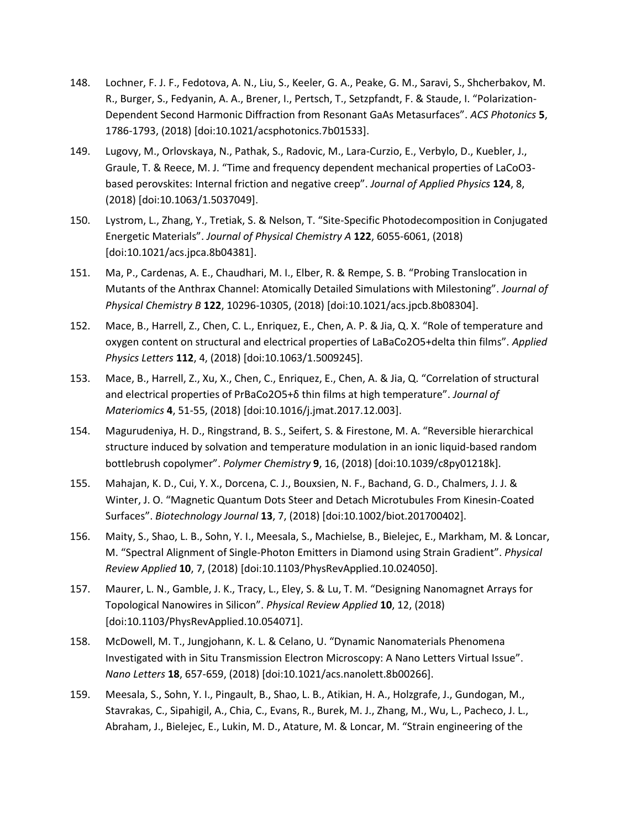- 148. Lochner, F. J. F., Fedotova, A. N., Liu, S., Keeler, G. A., Peake, G. M., Saravi, S., Shcherbakov, M. R., Burger, S., Fedyanin, A. A., Brener, I., Pertsch, T., Setzpfandt, F. & Staude, I. "Polarization-Dependent Second Harmonic Diffraction from Resonant GaAs Metasurfaces". *ACS Photonics* **5**, 1786-1793, (2018) [doi:10.1021/acsphotonics.7b01533].
- 149. Lugovy, M., Orlovskaya, N., Pathak, S., Radovic, M., Lara-Curzio, E., Verbylo, D., Kuebler, J., Graule, T. & Reece, M. J. "Time and frequency dependent mechanical properties of LaCoO3 based perovskites: Internal friction and negative creep". *Journal of Applied Physics* **124**, 8, (2018) [doi:10.1063/1.5037049].
- 150. Lystrom, L., Zhang, Y., Tretiak, S. & Nelson, T. "Site-Specific Photodecomposition in Conjugated Energetic Materials". *Journal of Physical Chemistry A* **122**, 6055-6061, (2018) [doi:10.1021/acs.jpca.8b04381].
- 151. Ma, P., Cardenas, A. E., Chaudhari, M. I., Elber, R. & Rempe, S. B. "Probing Translocation in Mutants of the Anthrax Channel: Atomically Detailed Simulations with Milestoning". *Journal of Physical Chemistry B* **122**, 10296-10305, (2018) [doi:10.1021/acs.jpcb.8b08304].
- 152. Mace, B., Harrell, Z., Chen, C. L., Enriquez, E., Chen, A. P. & Jia, Q. X. "Role of temperature and oxygen content on structural and electrical properties of LaBaCo2O5+delta thin films". *Applied Physics Letters* **112**, 4, (2018) [doi:10.1063/1.5009245].
- 153. Mace, B., Harrell, Z., Xu, X., Chen, C., Enriquez, E., Chen, A. & Jia, Q. "Correlation of structural and electrical properties of PrBaCo2O5+δ thin films at high temperature". *Journal of Materiomics* **4**, 51-55, (2018) [doi:10.1016/j.jmat.2017.12.003].
- 154. Magurudeniya, H. D., Ringstrand, B. S., Seifert, S. & Firestone, M. A. "Reversible hierarchical structure induced by solvation and temperature modulation in an ionic liquid-based random bottlebrush copolymer". *Polymer Chemistry* **9**, 16, (2018) [doi:10.1039/c8py01218k].
- 155. Mahajan, K. D., Cui, Y. X., Dorcena, C. J., Bouxsien, N. F., Bachand, G. D., Chalmers, J. J. & Winter, J. O. "Magnetic Quantum Dots Steer and Detach Microtubules From Kinesin-Coated Surfaces". *Biotechnology Journal* **13**, 7, (2018) [doi:10.1002/biot.201700402].
- 156. Maity, S., Shao, L. B., Sohn, Y. I., Meesala, S., Machielse, B., Bielejec, E., Markham, M. & Loncar, M. "Spectral Alignment of Single-Photon Emitters in Diamond using Strain Gradient". *Physical Review Applied* **10**, 7, (2018) [doi:10.1103/PhysRevApplied.10.024050].
- 157. Maurer, L. N., Gamble, J. K., Tracy, L., Eley, S. & Lu, T. M. "Designing Nanomagnet Arrays for Topological Nanowires in Silicon". *Physical Review Applied* **10**, 12, (2018) [doi:10.1103/PhysRevApplied.10.054071].
- 158. McDowell, M. T., Jungjohann, K. L. & Celano, U. "Dynamic Nanomaterials Phenomena Investigated with in Situ Transmission Electron Microscopy: A Nano Letters Virtual Issue". *Nano Letters* **18**, 657-659, (2018) [doi:10.1021/acs.nanolett.8b00266].
- 159. Meesala, S., Sohn, Y. I., Pingault, B., Shao, L. B., Atikian, H. A., Holzgrafe, J., Gundogan, M., Stavrakas, C., Sipahigil, A., Chia, C., Evans, R., Burek, M. J., Zhang, M., Wu, L., Pacheco, J. L., Abraham, J., Bielejec, E., Lukin, M. D., Atature, M. & Loncar, M. "Strain engineering of the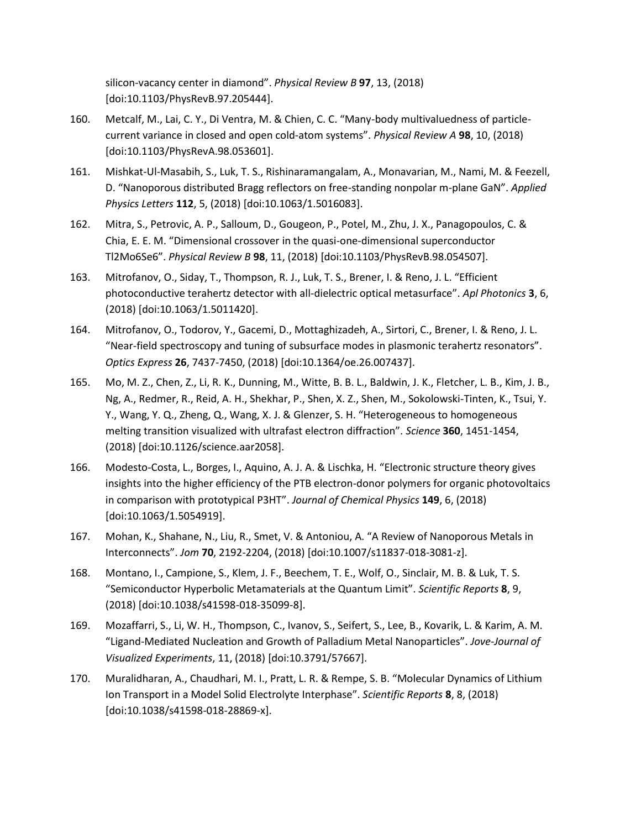silicon-vacancy center in diamond". *Physical Review B* **97**, 13, (2018) [doi:10.1103/PhysRevB.97.205444].

- 160. Metcalf, M., Lai, C. Y., Di Ventra, M. & Chien, C. C. "Many-body multivaluedness of particlecurrent variance in closed and open cold-atom systems". *Physical Review A* **98**, 10, (2018) [doi:10.1103/PhysRevA.98.053601].
- 161. Mishkat-Ul-Masabih, S., Luk, T. S., Rishinaramangalam, A., Monavarian, M., Nami, M. & Feezell, D. "Nanoporous distributed Bragg reflectors on free-standing nonpolar m-plane GaN". *Applied Physics Letters* **112**, 5, (2018) [doi:10.1063/1.5016083].
- 162. Mitra, S., Petrovic, A. P., Salloum, D., Gougeon, P., Potel, M., Zhu, J. X., Panagopoulos, C. & Chia, E. E. M. "Dimensional crossover in the quasi-one-dimensional superconductor Tl2Mo6Se6". *Physical Review B* **98**, 11, (2018) [doi:10.1103/PhysRevB.98.054507].
- 163. Mitrofanov, O., Siday, T., Thompson, R. J., Luk, T. S., Brener, I. & Reno, J. L. "Efficient photoconductive terahertz detector with all-dielectric optical metasurface". *Apl Photonics* **3**, 6, (2018) [doi:10.1063/1.5011420].
- 164. Mitrofanov, O., Todorov, Y., Gacemi, D., Mottaghizadeh, A., Sirtori, C., Brener, I. & Reno, J. L. "Near-field spectroscopy and tuning of subsurface modes in plasmonic terahertz resonators". *Optics Express* **26**, 7437-7450, (2018) [doi:10.1364/oe.26.007437].
- 165. Mo, M. Z., Chen, Z., Li, R. K., Dunning, M., Witte, B. B. L., Baldwin, J. K., Fletcher, L. B., Kim, J. B., Ng, A., Redmer, R., Reid, A. H., Shekhar, P., Shen, X. Z., Shen, M., Sokolowski-Tinten, K., Tsui, Y. Y., Wang, Y. Q., Zheng, Q., Wang, X. J. & Glenzer, S. H. "Heterogeneous to homogeneous melting transition visualized with ultrafast electron diffraction". *Science* **360**, 1451-1454, (2018) [doi:10.1126/science.aar2058].
- 166. Modesto-Costa, L., Borges, I., Aquino, A. J. A. & Lischka, H. "Electronic structure theory gives insights into the higher efficiency of the PTB electron-donor polymers for organic photovoltaics in comparison with prototypical P3HT". *Journal of Chemical Physics* **149**, 6, (2018) [doi:10.1063/1.5054919].
- 167. Mohan, K., Shahane, N., Liu, R., Smet, V. & Antoniou, A. "A Review of Nanoporous Metals in Interconnects". *Jom* **70**, 2192-2204, (2018) [doi:10.1007/s11837-018-3081-z].
- 168. Montano, I., Campione, S., Klem, J. F., Beechem, T. E., Wolf, O., Sinclair, M. B. & Luk, T. S. "Semiconductor Hyperbolic Metamaterials at the Quantum Limit". *Scientific Reports* **8**, 9, (2018) [doi:10.1038/s41598-018-35099-8].
- 169. Mozaffarri, S., Li, W. H., Thompson, C., Ivanov, S., Seifert, S., Lee, B., Kovarik, L. & Karim, A. M. "Ligand-Mediated Nucleation and Growth of Palladium Metal Nanoparticles". *Jove-Journal of Visualized Experiments*, 11, (2018) [doi:10.3791/57667].
- 170. Muralidharan, A., Chaudhari, M. I., Pratt, L. R. & Rempe, S. B. "Molecular Dynamics of Lithium Ion Transport in a Model Solid Electrolyte Interphase". *Scientific Reports* **8**, 8, (2018) [doi:10.1038/s41598-018-28869-x].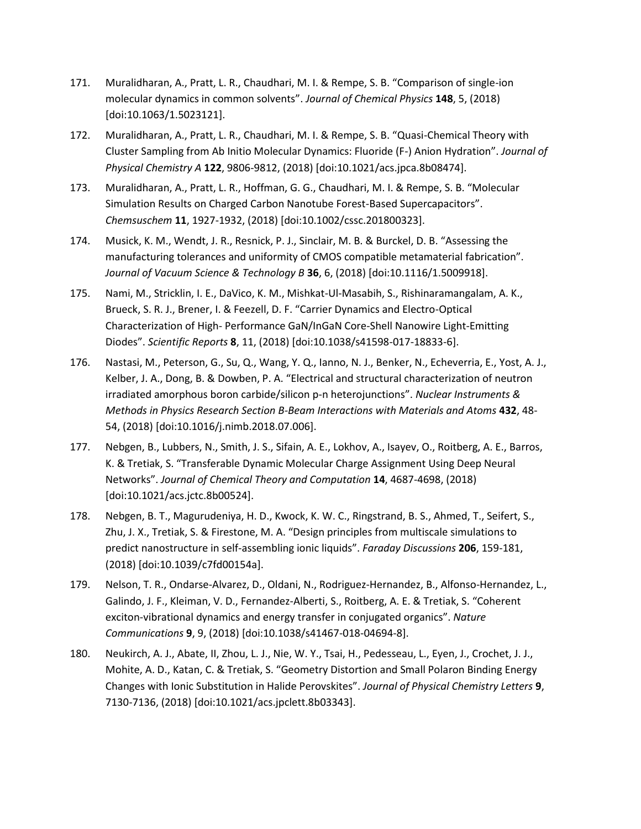- 171. Muralidharan, A., Pratt, L. R., Chaudhari, M. I. & Rempe, S. B. "Comparison of single-ion molecular dynamics in common solvents". *Journal of Chemical Physics* **148**, 5, (2018) [doi:10.1063/1.5023121].
- 172. Muralidharan, A., Pratt, L. R., Chaudhari, M. I. & Rempe, S. B. "Quasi-Chemical Theory with Cluster Sampling from Ab Initio Molecular Dynamics: Fluoride (F-) Anion Hydration". *Journal of Physical Chemistry A* **122**, 9806-9812, (2018) [doi:10.1021/acs.jpca.8b08474].
- 173. Muralidharan, A., Pratt, L. R., Hoffman, G. G., Chaudhari, M. I. & Rempe, S. B. "Molecular Simulation Results on Charged Carbon Nanotube Forest-Based Supercapacitors". *Chemsuschem* **11**, 1927-1932, (2018) [doi:10.1002/cssc.201800323].
- 174. Musick, K. M., Wendt, J. R., Resnick, P. J., Sinclair, M. B. & Burckel, D. B. "Assessing the manufacturing tolerances and uniformity of CMOS compatible metamaterial fabrication". *Journal of Vacuum Science & Technology B* **36**, 6, (2018) [doi:10.1116/1.5009918].
- 175. Nami, M., Stricklin, I. E., DaVico, K. M., Mishkat-Ul-Masabih, S., Rishinaramangalam, A. K., Brueck, S. R. J., Brener, I. & Feezell, D. F. "Carrier Dynamics and Electro-Optical Characterization of High- Performance GaN/InGaN Core-Shell Nanowire Light-Emitting Diodes". *Scientific Reports* **8**, 11, (2018) [doi:10.1038/s41598-017-18833-6].
- 176. Nastasi, M., Peterson, G., Su, Q., Wang, Y. Q., Ianno, N. J., Benker, N., Echeverria, E., Yost, A. J., Kelber, J. A., Dong, B. & Dowben, P. A. "Electrical and structural characterization of neutron irradiated amorphous boron carbide/silicon p-n heterojunctions". *Nuclear Instruments & Methods in Physics Research Section B-Beam Interactions with Materials and Atoms* **432**, 48- 54, (2018) [doi:10.1016/j.nimb.2018.07.006].
- 177. Nebgen, B., Lubbers, N., Smith, J. S., Sifain, A. E., Lokhov, A., Isayev, O., Roitberg, A. E., Barros, K. & Tretiak, S. "Transferable Dynamic Molecular Charge Assignment Using Deep Neural Networks". *Journal of Chemical Theory and Computation* **14**, 4687-4698, (2018) [doi:10.1021/acs.jctc.8b00524].
- 178. Nebgen, B. T., Magurudeniya, H. D., Kwock, K. W. C., Ringstrand, B. S., Ahmed, T., Seifert, S., Zhu, J. X., Tretiak, S. & Firestone, M. A. "Design principles from multiscale simulations to predict nanostructure in self-assembling ionic liquids". *Faraday Discussions* **206**, 159-181, (2018) [doi:10.1039/c7fd00154a].
- 179. Nelson, T. R., Ondarse-Alvarez, D., Oldani, N., Rodriguez-Hernandez, B., Alfonso-Hernandez, L., Galindo, J. F., Kleiman, V. D., Fernandez-Alberti, S., Roitberg, A. E. & Tretiak, S. "Coherent exciton-vibrational dynamics and energy transfer in conjugated organics". *Nature Communications* **9**, 9, (2018) [doi:10.1038/s41467-018-04694-8].
- 180. Neukirch, A. J., Abate, II, Zhou, L. J., Nie, W. Y., Tsai, H., Pedesseau, L., Eyen, J., Crochet, J. J., Mohite, A. D., Katan, C. & Tretiak, S. "Geometry Distortion and Small Polaron Binding Energy Changes with Ionic Substitution in Halide Perovskites". *Journal of Physical Chemistry Letters* **9**, 7130-7136, (2018) [doi:10.1021/acs.jpclett.8b03343].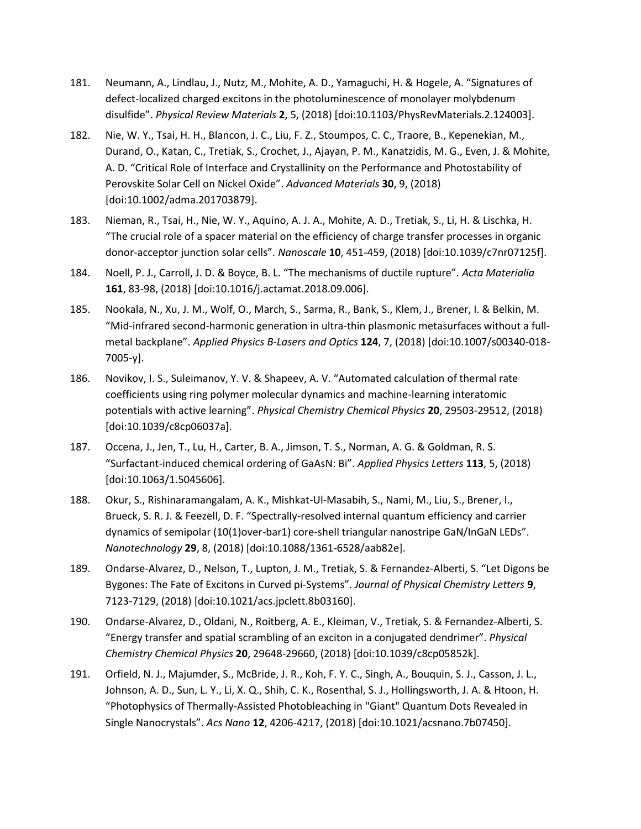- 181. Neumann, A., Lindlau, J., Nutz, M., Mohite, A. D., Yamaguchi, H. & Hogele, A. "Signatures of defect-localized charged excitons in the photoluminescence of monolayer molybdenum disulfide". *Physical Review Materials* **2**, 5, (2018) [doi:10.1103/PhysRevMaterials.2.124003].
- 182. Nie, W. Y., Tsai, H. H., Blancon, J. C., Liu, F. Z., Stoumpos, C. C., Traore, B., Kepenekian, M., Durand, O., Katan, C., Tretiak, S., Crochet, J., Ajayan, P. M., Kanatzidis, M. G., Even, J. & Mohite, A. D. "Critical Role of Interface and Crystallinity on the Performance and Photostability of Perovskite Solar Cell on Nickel Oxide". *Advanced Materials* **30**, 9, (2018) [doi:10.1002/adma.201703879].
- 183. Nieman, R., Tsai, H., Nie, W. Y., Aquino, A. J. A., Mohite, A. D., Tretiak, S., Li, H. & Lischka, H. "The crucial role of a spacer material on the efficiency of charge transfer processes in organic donor-acceptor junction solar cells". *Nanoscale* **10**, 451-459, (2018) [doi:10.1039/c7nr07125f].
- 184. Noell, P. J., Carroll, J. D. & Boyce, B. L. "The mechanisms of ductile rupture". *Acta Materialia* **161**, 83-98, (2018) [doi:10.1016/j.actamat.2018.09.006].
- 185. Nookala, N., Xu, J. M., Wolf, O., March, S., Sarma, R., Bank, S., Klem, J., Brener, I. & Belkin, M. "Mid-infrared second-harmonic generation in ultra-thin plasmonic metasurfaces without a fullmetal backplane". *Applied Physics B-Lasers and Optics* **124**, 7, (2018) [doi:10.1007/s00340-018- 7005-y].
- 186. Novikov, I. S., Suleimanov, Y. V. & Shapeev, A. V. "Automated calculation of thermal rate coefficients using ring polymer molecular dynamics and machine-learning interatomic potentials with active learning". *Physical Chemistry Chemical Physics* **20**, 29503-29512, (2018) [doi:10.1039/c8cp06037a].
- 187. Occena, J., Jen, T., Lu, H., Carter, B. A., Jimson, T. S., Norman, A. G. & Goldman, R. S. "Surfactant-induced chemical ordering of GaAsN: Bi". *Applied Physics Letters* **113**, 5, (2018) [doi:10.1063/1.5045606].
- 188. Okur, S., Rishinaramangalam, A. K., Mishkat-Ul-Masabih, S., Nami, M., Liu, S., Brener, I., Brueck, S. R. J. & Feezell, D. F. "Spectrally-resolved internal quantum efficiency and carrier dynamics of semipolar (10(1)over-bar1) core-shell triangular nanostripe GaN/InGaN LEDs". *Nanotechnology* **29**, 8, (2018) [doi:10.1088/1361-6528/aab82e].
- 189. Ondarse-Alvarez, D., Nelson, T., Lupton, J. M., Tretiak, S. & Fernandez-Alberti, S. "Let Digons be Bygones: The Fate of Excitons in Curved pi-Systems". *Journal of Physical Chemistry Letters* **9**, 7123-7129, (2018) [doi:10.1021/acs.jpclett.8b03160].
- 190. Ondarse-Alvarez, D., Oldani, N., Roitberg, A. E., Kleiman, V., Tretiak, S. & Fernandez-Alberti, S. "Energy transfer and spatial scrambling of an exciton in a conjugated dendrimer". *Physical Chemistry Chemical Physics* **20**, 29648-29660, (2018) [doi:10.1039/c8cp05852k].
- 191. Orfield, N. J., Majumder, S., McBride, J. R., Koh, F. Y. C., Singh, A., Bouquin, S. J., Casson, J. L., Johnson, A. D., Sun, L. Y., Li, X. Q., Shih, C. K., Rosenthal, S. J., Hollingsworth, J. A. & Htoon, H. "Photophysics of Thermally-Assisted Photobleaching in "Giant" Quantum Dots Revealed in Single Nanocrystals". *Acs Nano* **12**, 4206-4217, (2018) [doi:10.1021/acsnano.7b07450].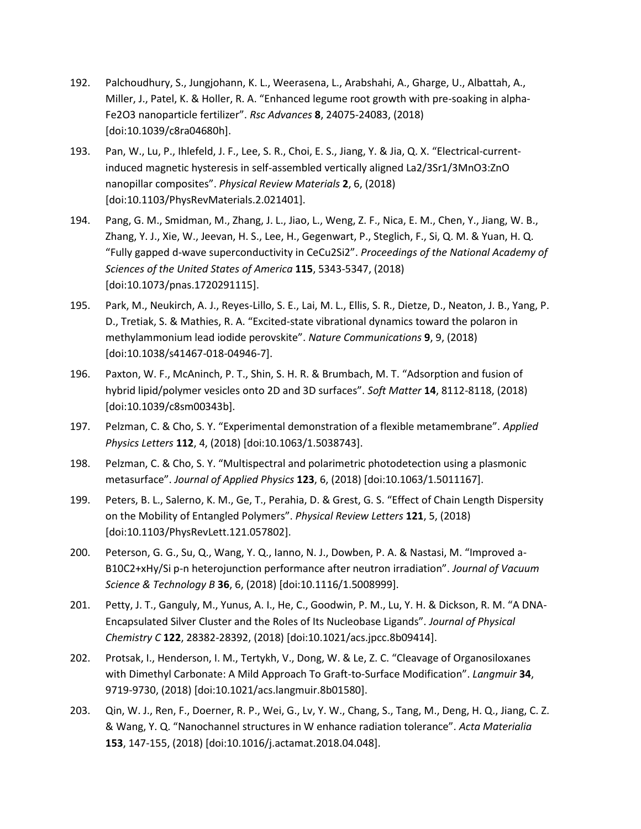- 192. Palchoudhury, S., Jungjohann, K. L., Weerasena, L., Arabshahi, A., Gharge, U., Albattah, A., Miller, J., Patel, K. & Holler, R. A. "Enhanced legume root growth with pre-soaking in alpha-Fe2O3 nanoparticle fertilizer". *Rsc Advances* **8**, 24075-24083, (2018) [doi:10.1039/c8ra04680h].
- 193. Pan, W., Lu, P., Ihlefeld, J. F., Lee, S. R., Choi, E. S., Jiang, Y. & Jia, Q. X. "Electrical-currentinduced magnetic hysteresis in self-assembled vertically aligned La2/3Sr1/3MnO3:ZnO nanopillar composites". *Physical Review Materials* **2**, 6, (2018) [doi:10.1103/PhysRevMaterials.2.021401].
- 194. Pang, G. M., Smidman, M., Zhang, J. L., Jiao, L., Weng, Z. F., Nica, E. M., Chen, Y., Jiang, W. B., Zhang, Y. J., Xie, W., Jeevan, H. S., Lee, H., Gegenwart, P., Steglich, F., Si, Q. M. & Yuan, H. Q. "Fully gapped d-wave superconductivity in CeCu2Si2". *Proceedings of the National Academy of Sciences of the United States of America* **115**, 5343-5347, (2018) [doi:10.1073/pnas.1720291115].
- 195. Park, M., Neukirch, A. J., Reyes-Lillo, S. E., Lai, M. L., Ellis, S. R., Dietze, D., Neaton, J. B., Yang, P. D., Tretiak, S. & Mathies, R. A. "Excited-state vibrational dynamics toward the polaron in methylammonium lead iodide perovskite". *Nature Communications* **9**, 9, (2018) [doi:10.1038/s41467-018-04946-7].
- 196. Paxton, W. F., McAninch, P. T., Shin, S. H. R. & Brumbach, M. T. "Adsorption and fusion of hybrid lipid/polymer vesicles onto 2D and 3D surfaces". *Soft Matter* **14**, 8112-8118, (2018) [doi:10.1039/c8sm00343b].
- 197. Pelzman, C. & Cho, S. Y. "Experimental demonstration of a flexible metamembrane". *Applied Physics Letters* **112**, 4, (2018) [doi:10.1063/1.5038743].
- 198. Pelzman, C. & Cho, S. Y. "Multispectral and polarimetric photodetection using a plasmonic metasurface". *Journal of Applied Physics* **123**, 6, (2018) [doi:10.1063/1.5011167].
- 199. Peters, B. L., Salerno, K. M., Ge, T., Perahia, D. & Grest, G. S. "Effect of Chain Length Dispersity on the Mobility of Entangled Polymers". *Physical Review Letters* **121**, 5, (2018) [doi:10.1103/PhysRevLett.121.057802].
- 200. Peterson, G. G., Su, Q., Wang, Y. Q., Ianno, N. J., Dowben, P. A. & Nastasi, M. "Improved a-B10C2+xHy/Si p-n heterojunction performance after neutron irradiation". *Journal of Vacuum Science & Technology B* **36**, 6, (2018) [doi:10.1116/1.5008999].
- 201. Petty, J. T., Ganguly, M., Yunus, A. I., He, C., Goodwin, P. M., Lu, Y. H. & Dickson, R. M. "A DNA-Encapsulated Silver Cluster and the Roles of Its Nucleobase Ligands". *Journal of Physical Chemistry C* **122**, 28382-28392, (2018) [doi:10.1021/acs.jpcc.8b09414].
- 202. Protsak, I., Henderson, I. M., Tertykh, V., Dong, W. & Le, Z. C. "Cleavage of Organosiloxanes with Dimethyl Carbonate: A Mild Approach To Graft-to-Surface Modification". *Langmuir* **34**, 9719-9730, (2018) [doi:10.1021/acs.langmuir.8b01580].
- 203. Qin, W. J., Ren, F., Doerner, R. P., Wei, G., Lv, Y. W., Chang, S., Tang, M., Deng, H. Q., Jiang, C. Z. & Wang, Y. Q. "Nanochannel structures in W enhance radiation tolerance". *Acta Materialia* **153**, 147-155, (2018) [doi:10.1016/j.actamat.2018.04.048].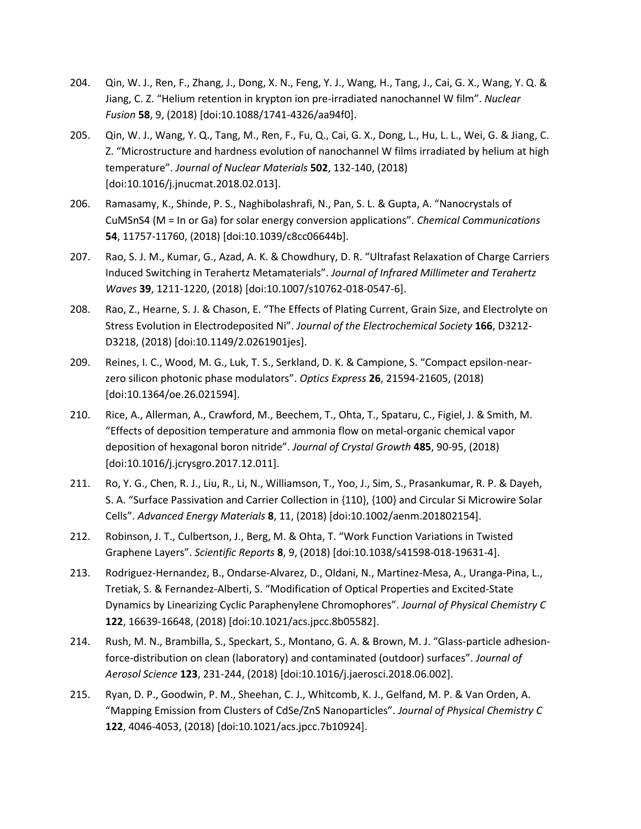- 204. Qin, W. J., Ren, F., Zhang, J., Dong, X. N., Feng, Y. J., Wang, H., Tang, J., Cai, G. X., Wang, Y. Q. & Jiang, C. Z. "Helium retention in krypton ion pre-irradiated nanochannel W film". *Nuclear Fusion* **58**, 9, (2018) [doi:10.1088/1741-4326/aa94f0].
- 205. Qin, W. J., Wang, Y. Q., Tang, M., Ren, F., Fu, Q., Cai, G. X., Dong, L., Hu, L. L., Wei, G. & Jiang, C. Z. "Microstructure and hardness evolution of nanochannel W films irradiated by helium at high temperature". *Journal of Nuclear Materials* **502**, 132-140, (2018) [doi:10.1016/j.jnucmat.2018.02.013].
- 206. Ramasamy, K., Shinde, P. S., Naghibolashrafi, N., Pan, S. L. & Gupta, A. "Nanocrystals of CuMSnS4 (M = In or Ga) for solar energy conversion applications". *Chemical Communications* **54**, 11757-11760, (2018) [doi:10.1039/c8cc06644b].
- 207. Rao, S. J. M., Kumar, G., Azad, A. K. & Chowdhury, D. R. "Ultrafast Relaxation of Charge Carriers Induced Switching in Terahertz Metamaterials". *Journal of Infrared Millimeter and Terahertz Waves* **39**, 1211-1220, (2018) [doi:10.1007/s10762-018-0547-6].
- 208. Rao, Z., Hearne, S. J. & Chason, E. "The Effects of Plating Current, Grain Size, and Electrolyte on Stress Evolution in Electrodeposited Ni". *Journal of the Electrochemical Society* **166**, D3212- D3218, (2018) [doi:10.1149/2.0261901jes].
- 209. Reines, I. C., Wood, M. G., Luk, T. S., Serkland, D. K. & Campione, S. "Compact epsilon-nearzero silicon photonic phase modulators". *Optics Express* **26**, 21594-21605, (2018) [doi:10.1364/oe.26.021594].
- 210. Rice, A., Allerman, A., Crawford, M., Beechem, T., Ohta, T., Spataru, C., Figiel, J. & Smith, M. "Effects of deposition temperature and ammonia flow on metal-organic chemical vapor deposition of hexagonal boron nitride". *Journal of Crystal Growth* **485**, 90-95, (2018) [doi:10.1016/j.jcrysgro.2017.12.011].
- 211. Ro, Y. G., Chen, R. J., Liu, R., Li, N., Williamson, T., Yoo, J., Sim, S., Prasankumar, R. P. & Dayeh, S. A. "Surface Passivation and Carrier Collection in {110}, {100} and Circular Si Microwire Solar Cells". *Advanced Energy Materials* **8**, 11, (2018) [doi:10.1002/aenm.201802154].
- 212. Robinson, J. T., Culbertson, J., Berg, M. & Ohta, T. "Work Function Variations in Twisted Graphene Layers". *Scientific Reports* **8**, 9, (2018) [doi:10.1038/s41598-018-19631-4].
- 213. Rodriguez-Hernandez, B., Ondarse-Alvarez, D., Oldani, N., Martinez-Mesa, A., Uranga-Pina, L., Tretiak, S. & Fernandez-Alberti, S. "Modification of Optical Properties and Excited-State Dynamics by Linearizing Cyclic Paraphenylene Chromophores". *Journal of Physical Chemistry C* **122**, 16639-16648, (2018) [doi:10.1021/acs.jpcc.8b05582].
- 214. Rush, M. N., Brambilla, S., Speckart, S., Montano, G. A. & Brown, M. J. "Glass-particle adhesionforce-distribution on clean (laboratory) and contaminated (outdoor) surfaces". *Journal of Aerosol Science* **123**, 231-244, (2018) [doi:10.1016/j.jaerosci.2018.06.002].
- 215. Ryan, D. P., Goodwin, P. M., Sheehan, C. J., Whitcomb, K. J., Gelfand, M. P. & Van Orden, A. "Mapping Emission from Clusters of CdSe/ZnS Nanoparticles". *Journal of Physical Chemistry C* **122**, 4046-4053, (2018) [doi:10.1021/acs.jpcc.7b10924].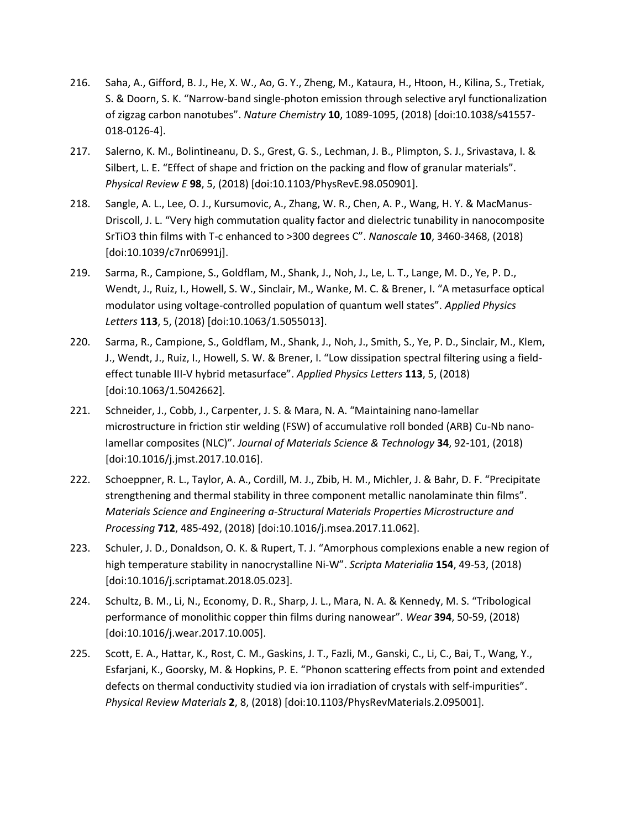- 216. Saha, A., Gifford, B. J., He, X. W., Ao, G. Y., Zheng, M., Kataura, H., Htoon, H., Kilina, S., Tretiak, S. & Doorn, S. K. "Narrow-band single-photon emission through selective aryl functionalization of zigzag carbon nanotubes". *Nature Chemistry* **10**, 1089-1095, (2018) [doi:10.1038/s41557- 018-0126-4].
- 217. Salerno, K. M., Bolintineanu, D. S., Grest, G. S., Lechman, J. B., Plimpton, S. J., Srivastava, I. & Silbert, L. E. "Effect of shape and friction on the packing and flow of granular materials". *Physical Review E* **98**, 5, (2018) [doi:10.1103/PhysRevE.98.050901].
- 218. Sangle, A. L., Lee, O. J., Kursumovic, A., Zhang, W. R., Chen, A. P., Wang, H. Y. & MacManus-Driscoll, J. L. "Very high commutation quality factor and dielectric tunability in nanocomposite SrTiO3 thin films with T-c enhanced to >300 degrees C". *Nanoscale* **10**, 3460-3468, (2018) [doi:10.1039/c7nr06991j].
- 219. Sarma, R., Campione, S., Goldflam, M., Shank, J., Noh, J., Le, L. T., Lange, M. D., Ye, P. D., Wendt, J., Ruiz, I., Howell, S. W., Sinclair, M., Wanke, M. C. & Brener, I. "A metasurface optical modulator using voltage-controlled population of quantum well states". *Applied Physics Letters* **113**, 5, (2018) [doi:10.1063/1.5055013].
- 220. Sarma, R., Campione, S., Goldflam, M., Shank, J., Noh, J., Smith, S., Ye, P. D., Sinclair, M., Klem, J., Wendt, J., Ruiz, I., Howell, S. W. & Brener, I. "Low dissipation spectral filtering using a fieldeffect tunable III-V hybrid metasurface". *Applied Physics Letters* **113**, 5, (2018) [doi:10.1063/1.5042662].
- 221. Schneider, J., Cobb, J., Carpenter, J. S. & Mara, N. A. "Maintaining nano-lamellar microstructure in friction stir welding (FSW) of accumulative roll bonded (ARB) Cu-Nb nanolamellar composites (NLC)". *Journal of Materials Science & Technology* **34**, 92-101, (2018) [doi:10.1016/j.jmst.2017.10.016].
- 222. Schoeppner, R. L., Taylor, A. A., Cordill, M. J., Zbib, H. M., Michler, J. & Bahr, D. F. "Precipitate strengthening and thermal stability in three component metallic nanolaminate thin films". *Materials Science and Engineering a-Structural Materials Properties Microstructure and Processing* **712**, 485-492, (2018) [doi:10.1016/j.msea.2017.11.062].
- 223. Schuler, J. D., Donaldson, O. K. & Rupert, T. J. "Amorphous complexions enable a new region of high temperature stability in nanocrystalline Ni-W". *Scripta Materialia* **154**, 49-53, (2018) [doi:10.1016/j.scriptamat.2018.05.023].
- 224. Schultz, B. M., Li, N., Economy, D. R., Sharp, J. L., Mara, N. A. & Kennedy, M. S. "Tribological performance of monolithic copper thin films during nanowear". *Wear* **394**, 50-59, (2018) [doi:10.1016/j.wear.2017.10.005].
- 225. Scott, E. A., Hattar, K., Rost, C. M., Gaskins, J. T., Fazli, M., Ganski, C., Li, C., Bai, T., Wang, Y., Esfarjani, K., Goorsky, M. & Hopkins, P. E. "Phonon scattering effects from point and extended defects on thermal conductivity studied via ion irradiation of crystals with self-impurities". *Physical Review Materials* **2**, 8, (2018) [doi:10.1103/PhysRevMaterials.2.095001].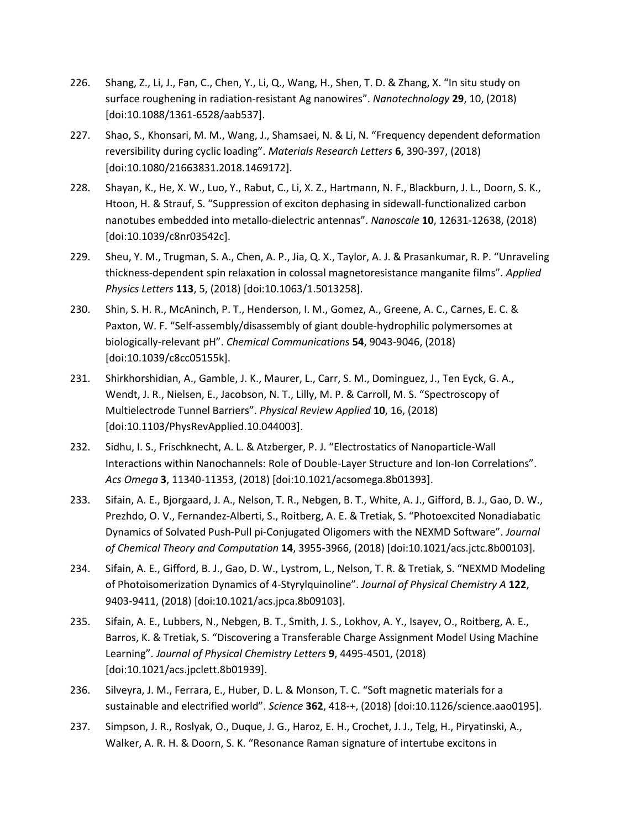- 226. Shang, Z., Li, J., Fan, C., Chen, Y., Li, Q., Wang, H., Shen, T. D. & Zhang, X. "In situ study on surface roughening in radiation-resistant Ag nanowires". *Nanotechnology* **29**, 10, (2018) [doi:10.1088/1361-6528/aab537].
- 227. Shao, S., Khonsari, M. M., Wang, J., Shamsaei, N. & Li, N. "Frequency dependent deformation reversibility during cyclic loading". *Materials Research Letters* **6**, 390-397, (2018) [doi:10.1080/21663831.2018.1469172].
- 228. Shayan, K., He, X. W., Luo, Y., Rabut, C., Li, X. Z., Hartmann, N. F., Blackburn, J. L., Doorn, S. K., Htoon, H. & Strauf, S. "Suppression of exciton dephasing in sidewall-functionalized carbon nanotubes embedded into metallo-dielectric antennas". *Nanoscale* **10**, 12631-12638, (2018) [doi:10.1039/c8nr03542c].
- 229. Sheu, Y. M., Trugman, S. A., Chen, A. P., Jia, Q. X., Taylor, A. J. & Prasankumar, R. P. "Unraveling thickness-dependent spin relaxation in colossal magnetoresistance manganite films". *Applied Physics Letters* **113**, 5, (2018) [doi:10.1063/1.5013258].
- 230. Shin, S. H. R., McAninch, P. T., Henderson, I. M., Gomez, A., Greene, A. C., Carnes, E. C. & Paxton, W. F. "Self-assembly/disassembly of giant double-hydrophilic polymersomes at biologically-relevant pH". *Chemical Communications* **54**, 9043-9046, (2018) [doi:10.1039/c8cc05155k].
- 231. Shirkhorshidian, A., Gamble, J. K., Maurer, L., Carr, S. M., Dominguez, J., Ten Eyck, G. A., Wendt, J. R., Nielsen, E., Jacobson, N. T., Lilly, M. P. & Carroll, M. S. "Spectroscopy of Multielectrode Tunnel Barriers". *Physical Review Applied* **10**, 16, (2018) [doi:10.1103/PhysRevApplied.10.044003].
- 232. Sidhu, I. S., Frischknecht, A. L. & Atzberger, P. J. "Electrostatics of Nanoparticle-Wall Interactions within Nanochannels: Role of Double-Layer Structure and Ion-Ion Correlations". *Acs Omega* **3**, 11340-11353, (2018) [doi:10.1021/acsomega.8b01393].
- 233. Sifain, A. E., Bjorgaard, J. A., Nelson, T. R., Nebgen, B. T., White, A. J., Gifford, B. J., Gao, D. W., Prezhdo, O. V., Fernandez-Alberti, S., Roitberg, A. E. & Tretiak, S. "Photoexcited Nonadiabatic Dynamics of Solvated Push-Pull pi-Conjugated Oligomers with the NEXMD Software". *Journal of Chemical Theory and Computation* **14**, 3955-3966, (2018) [doi:10.1021/acs.jctc.8b00103].
- 234. Sifain, A. E., Gifford, B. J., Gao, D. W., Lystrom, L., Nelson, T. R. & Tretiak, S. "NEXMD Modeling of Photoisomerization Dynamics of 4-Styrylquinoline". *Journal of Physical Chemistry A* **122**, 9403-9411, (2018) [doi:10.1021/acs.jpca.8b09103].
- 235. Sifain, A. E., Lubbers, N., Nebgen, B. T., Smith, J. S., Lokhov, A. Y., Isayev, O., Roitberg, A. E., Barros, K. & Tretiak, S. "Discovering a Transferable Charge Assignment Model Using Machine Learning". *Journal of Physical Chemistry Letters* **9**, 4495-4501, (2018) [doi:10.1021/acs.jpclett.8b01939].
- 236. Silveyra, J. M., Ferrara, E., Huber, D. L. & Monson, T. C. "Soft magnetic materials for a sustainable and electrified world". *Science* **362**, 418-+, (2018) [doi:10.1126/science.aao0195].
- 237. Simpson, J. R., Roslyak, O., Duque, J. G., Haroz, E. H., Crochet, J. J., Telg, H., Piryatinski, A., Walker, A. R. H. & Doorn, S. K. "Resonance Raman signature of intertube excitons in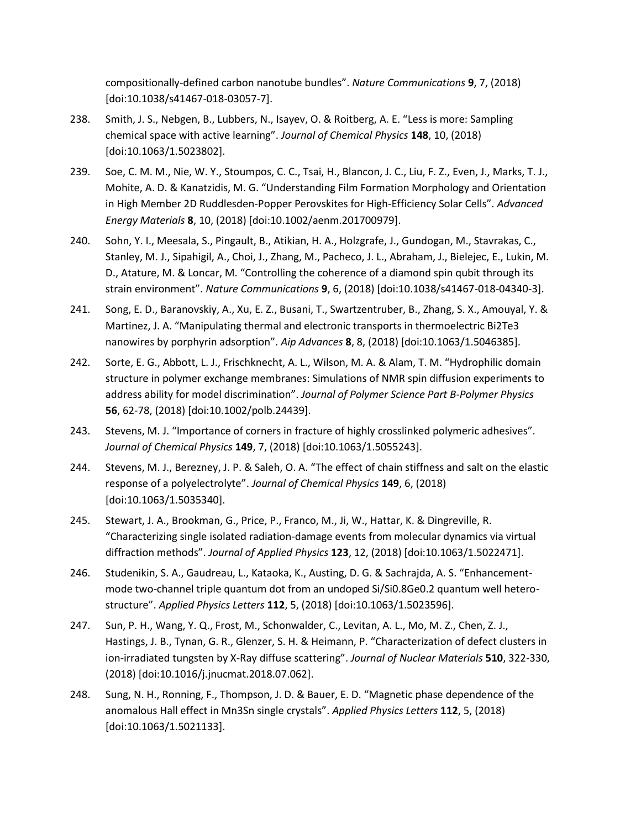compositionally-defined carbon nanotube bundles". *Nature Communications* **9**, 7, (2018) [doi:10.1038/s41467-018-03057-7].

- 238. Smith, J. S., Nebgen, B., Lubbers, N., Isayev, O. & Roitberg, A. E. "Less is more: Sampling chemical space with active learning". *Journal of Chemical Physics* **148**, 10, (2018) [doi:10.1063/1.5023802].
- 239. Soe, C. M. M., Nie, W. Y., Stoumpos, C. C., Tsai, H., Blancon, J. C., Liu, F. Z., Even, J., Marks, T. J., Mohite, A. D. & Kanatzidis, M. G. "Understanding Film Formation Morphology and Orientation in High Member 2D Ruddlesden-Popper Perovskites for High-Efficiency Solar Cells". *Advanced Energy Materials* **8**, 10, (2018) [doi:10.1002/aenm.201700979].
- 240. Sohn, Y. I., Meesala, S., Pingault, B., Atikian, H. A., Holzgrafe, J., Gundogan, M., Stavrakas, C., Stanley, M. J., Sipahigil, A., Choi, J., Zhang, M., Pacheco, J. L., Abraham, J., Bielejec, E., Lukin, M. D., Atature, M. & Loncar, M. "Controlling the coherence of a diamond spin qubit through its strain environment". *Nature Communications* **9**, 6, (2018) [doi:10.1038/s41467-018-04340-3].
- 241. Song, E. D., Baranovskiy, A., Xu, E. Z., Busani, T., Swartzentruber, B., Zhang, S. X., Amouyal, Y. & Martinez, J. A. "Manipulating thermal and electronic transports in thermoelectric Bi2Te3 nanowires by porphyrin adsorption". *Aip Advances* **8**, 8, (2018) [doi:10.1063/1.5046385].
- 242. Sorte, E. G., Abbott, L. J., Frischknecht, A. L., Wilson, M. A. & Alam, T. M. "Hydrophilic domain structure in polymer exchange membranes: Simulations of NMR spin diffusion experiments to address ability for model discrimination". *Journal of Polymer Science Part B-Polymer Physics* **56**, 62-78, (2018) [doi:10.1002/polb.24439].
- 243. Stevens, M. J. "Importance of corners in fracture of highly crosslinked polymeric adhesives". *Journal of Chemical Physics* **149**, 7, (2018) [doi:10.1063/1.5055243].
- 244. Stevens, M. J., Berezney, J. P. & Saleh, O. A. "The effect of chain stiffness and salt on the elastic response of a polyelectrolyte". *Journal of Chemical Physics* **149**, 6, (2018) [doi:10.1063/1.5035340].
- 245. Stewart, J. A., Brookman, G., Price, P., Franco, M., Ji, W., Hattar, K. & Dingreville, R. "Characterizing single isolated radiation-damage events from molecular dynamics via virtual diffraction methods". *Journal of Applied Physics* **123**, 12, (2018) [doi:10.1063/1.5022471].
- 246. Studenikin, S. A., Gaudreau, L., Kataoka, K., Austing, D. G. & Sachrajda, A. S. "Enhancementmode two-channel triple quantum dot from an undoped Si/Si0.8Ge0.2 quantum well heterostructure". *Applied Physics Letters* **112**, 5, (2018) [doi:10.1063/1.5023596].
- 247. Sun, P. H., Wang, Y. Q., Frost, M., Schonwalder, C., Levitan, A. L., Mo, M. Z., Chen, Z. J., Hastings, J. B., Tynan, G. R., Glenzer, S. H. & Heimann, P. "Characterization of defect clusters in ion-irradiated tungsten by X-Ray diffuse scattering". *Journal of Nuclear Materials* **510**, 322-330, (2018) [doi:10.1016/j.jnucmat.2018.07.062].
- 248. Sung, N. H., Ronning, F., Thompson, J. D. & Bauer, E. D. "Magnetic phase dependence of the anomalous Hall effect in Mn3Sn single crystals". *Applied Physics Letters* **112**, 5, (2018) [doi:10.1063/1.5021133].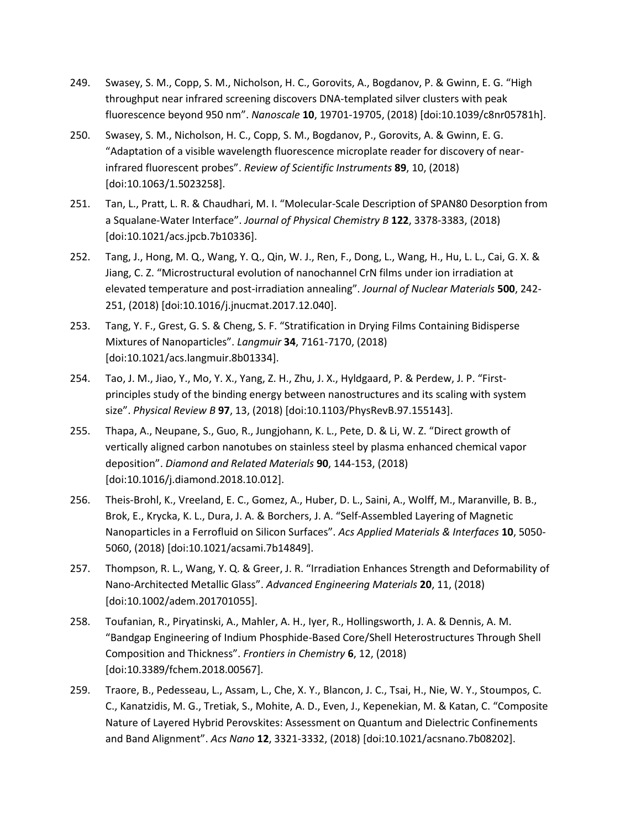- 249. Swasey, S. M., Copp, S. M., Nicholson, H. C., Gorovits, A., Bogdanov, P. & Gwinn, E. G. "High throughput near infrared screening discovers DNA-templated silver clusters with peak fluorescence beyond 950 nm". *Nanoscale* **10**, 19701-19705, (2018) [doi:10.1039/c8nr05781h].
- 250. Swasey, S. M., Nicholson, H. C., Copp, S. M., Bogdanov, P., Gorovits, A. & Gwinn, E. G. "Adaptation of a visible wavelength fluorescence microplate reader for discovery of nearinfrared fluorescent probes". *Review of Scientific Instruments* **89**, 10, (2018) [doi:10.1063/1.5023258].
- 251. Tan, L., Pratt, L. R. & Chaudhari, M. I. "Molecular-Scale Description of SPAN80 Desorption from a Squalane-Water Interface". *Journal of Physical Chemistry B* **122**, 3378-3383, (2018) [doi:10.1021/acs.jpcb.7b10336].
- 252. Tang, J., Hong, M. Q., Wang, Y. Q., Qin, W. J., Ren, F., Dong, L., Wang, H., Hu, L. L., Cai, G. X. & Jiang, C. Z. "Microstructural evolution of nanochannel CrN films under ion irradiation at elevated temperature and post-irradiation annealing". *Journal of Nuclear Materials* **500**, 242- 251, (2018) [doi:10.1016/j.jnucmat.2017.12.040].
- 253. Tang, Y. F., Grest, G. S. & Cheng, S. F. "Stratification in Drying Films Containing Bidisperse Mixtures of Nanoparticles". *Langmuir* **34**, 7161-7170, (2018) [doi:10.1021/acs.langmuir.8b01334].
- 254. Tao, J. M., Jiao, Y., Mo, Y. X., Yang, Z. H., Zhu, J. X., Hyldgaard, P. & Perdew, J. P. "Firstprinciples study of the binding energy between nanostructures and its scaling with system size". *Physical Review B* **97**, 13, (2018) [doi:10.1103/PhysRevB.97.155143].
- 255. Thapa, A., Neupane, S., Guo, R., Jungjohann, K. L., Pete, D. & Li, W. Z. "Direct growth of vertically aligned carbon nanotubes on stainless steel by plasma enhanced chemical vapor deposition". *Diamond and Related Materials* **90**, 144-153, (2018) [doi:10.1016/j.diamond.2018.10.012].
- 256. Theis-Brohl, K., Vreeland, E. C., Gomez, A., Huber, D. L., Saini, A., Wolff, M., Maranville, B. B., Brok, E., Krycka, K. L., Dura, J. A. & Borchers, J. A. "Self-Assembled Layering of Magnetic Nanoparticles in a Ferrofluid on Silicon Surfaces". *Acs Applied Materials & Interfaces* **10**, 5050- 5060, (2018) [doi:10.1021/acsami.7b14849].
- 257. Thompson, R. L., Wang, Y. Q. & Greer, J. R. "Irradiation Enhances Strength and Deformability of Nano-Architected Metallic Glass". *Advanced Engineering Materials* **20**, 11, (2018) [doi:10.1002/adem.201701055].
- 258. Toufanian, R., Piryatinski, A., Mahler, A. H., Iyer, R., Hollingsworth, J. A. & Dennis, A. M. "Bandgap Engineering of Indium Phosphide-Based Core/Shell Heterostructures Through Shell Composition and Thickness". *Frontiers in Chemistry* **6**, 12, (2018) [doi:10.3389/fchem.2018.00567].
- 259. Traore, B., Pedesseau, L., Assam, L., Che, X. Y., Blancon, J. C., Tsai, H., Nie, W. Y., Stoumpos, C. C., Kanatzidis, M. G., Tretiak, S., Mohite, A. D., Even, J., Kepenekian, M. & Katan, C. "Composite Nature of Layered Hybrid Perovskites: Assessment on Quantum and Dielectric Confinements and Band Alignment". *Acs Nano* **12**, 3321-3332, (2018) [doi:10.1021/acsnano.7b08202].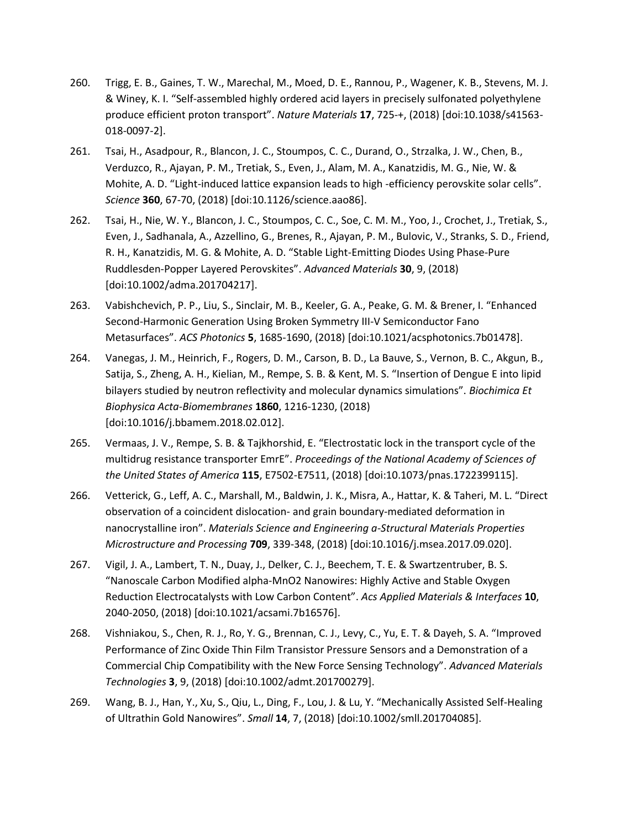- 260. Trigg, E. B., Gaines, T. W., Marechal, M., Moed, D. E., Rannou, P., Wagener, K. B., Stevens, M. J. & Winey, K. I. "Self-assembled highly ordered acid layers in precisely sulfonated polyethylene produce efficient proton transport". *Nature Materials* **17**, 725-+, (2018) [doi:10.1038/s41563- 018-0097-2].
- 261. Tsai, H., Asadpour, R., Blancon, J. C., Stoumpos, C. C., Durand, O., Strzalka, J. W., Chen, B., Verduzco, R., Ajayan, P. M., Tretiak, S., Even, J., Alam, M. A., Kanatzidis, M. G., Nie, W. & Mohite, A. D. "Light-induced lattice expansion leads to high -efficiency perovskite solar cells". *Science* **360**, 67-70, (2018) [doi:10.1126/science.aao86].
- 262. Tsai, H., Nie, W. Y., Blancon, J. C., Stoumpos, C. C., Soe, C. M. M., Yoo, J., Crochet, J., Tretiak, S., Even, J., Sadhanala, A., Azzellino, G., Brenes, R., Ajayan, P. M., Bulovic, V., Stranks, S. D., Friend, R. H., Kanatzidis, M. G. & Mohite, A. D. "Stable Light-Emitting Diodes Using Phase-Pure Ruddlesden-Popper Layered Perovskites". *Advanced Materials* **30**, 9, (2018) [doi:10.1002/adma.201704217].
- 263. Vabishchevich, P. P., Liu, S., Sinclair, M. B., Keeler, G. A., Peake, G. M. & Brener, I. "Enhanced Second-Harmonic Generation Using Broken Symmetry III-V Semiconductor Fano Metasurfaces". *ACS Photonics* **5**, 1685-1690, (2018) [doi:10.1021/acsphotonics.7b01478].
- 264. Vanegas, J. M., Heinrich, F., Rogers, D. M., Carson, B. D., La Bauve, S., Vernon, B. C., Akgun, B., Satija, S., Zheng, A. H., Kielian, M., Rempe, S. B. & Kent, M. S. "Insertion of Dengue E into lipid bilayers studied by neutron reflectivity and molecular dynamics simulations". *Biochimica Et Biophysica Acta-Biomembranes* **1860**, 1216-1230, (2018) [doi:10.1016/j.bbamem.2018.02.012].
- 265. Vermaas, J. V., Rempe, S. B. & Tajkhorshid, E. "Electrostatic lock in the transport cycle of the multidrug resistance transporter EmrE". *Proceedings of the National Academy of Sciences of the United States of America* **115**, E7502-E7511, (2018) [doi:10.1073/pnas.1722399115].
- 266. Vetterick, G., Leff, A. C., Marshall, M., Baldwin, J. K., Misra, A., Hattar, K. & Taheri, M. L. "Direct observation of a coincident dislocation- and grain boundary-mediated deformation in nanocrystalline iron". *Materials Science and Engineering a-Structural Materials Properties Microstructure and Processing* **709**, 339-348, (2018) [doi:10.1016/j.msea.2017.09.020].
- 267. Vigil, J. A., Lambert, T. N., Duay, J., Delker, C. J., Beechem, T. E. & Swartzentruber, B. S. "Nanoscale Carbon Modified alpha-MnO2 Nanowires: Highly Active and Stable Oxygen Reduction Electrocatalysts with Low Carbon Content". *Acs Applied Materials & Interfaces* **10**, 2040-2050, (2018) [doi:10.1021/acsami.7b16576].
- 268. Vishniakou, S., Chen, R. J., Ro, Y. G., Brennan, C. J., Levy, C., Yu, E. T. & Dayeh, S. A. "Improved Performance of Zinc Oxide Thin Film Transistor Pressure Sensors and a Demonstration of a Commercial Chip Compatibility with the New Force Sensing Technology". *Advanced Materials Technologies* **3**, 9, (2018) [doi:10.1002/admt.201700279].
- 269. Wang, B. J., Han, Y., Xu, S., Qiu, L., Ding, F., Lou, J. & Lu, Y. "Mechanically Assisted Self-Healing of Ultrathin Gold Nanowires". *Small* **14**, 7, (2018) [doi:10.1002/smll.201704085].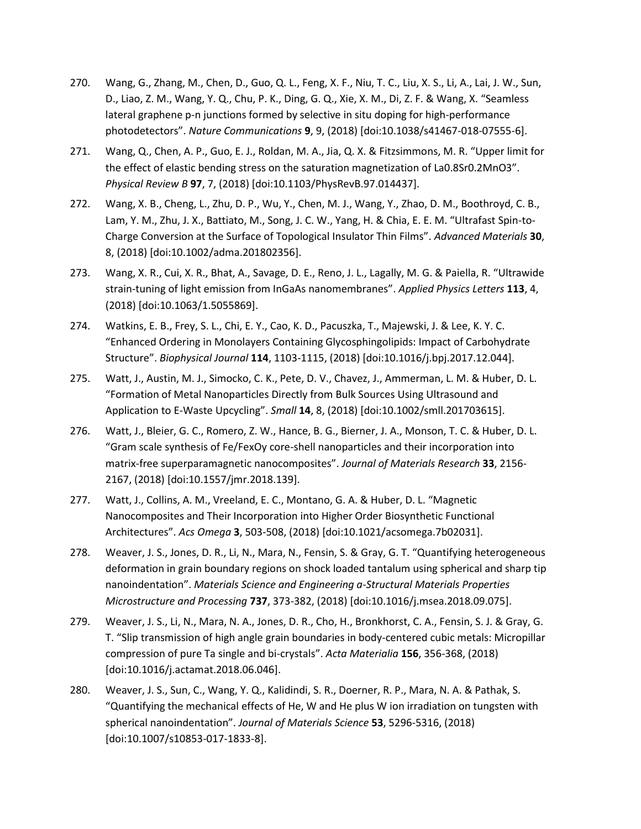- 270. Wang, G., Zhang, M., Chen, D., Guo, Q. L., Feng, X. F., Niu, T. C., Liu, X. S., Li, A., Lai, J. W., Sun, D., Liao, Z. M., Wang, Y. Q., Chu, P. K., Ding, G. Q., Xie, X. M., Di, Z. F. & Wang, X. "Seamless lateral graphene p-n junctions formed by selective in situ doping for high-performance photodetectors". *Nature Communications* **9**, 9, (2018) [doi:10.1038/s41467-018-07555-6].
- 271. Wang, Q., Chen, A. P., Guo, E. J., Roldan, M. A., Jia, Q. X. & Fitzsimmons, M. R. "Upper limit for the effect of elastic bending stress on the saturation magnetization of La0.8Sr0.2MnO3". *Physical Review B* **97**, 7, (2018) [doi:10.1103/PhysRevB.97.014437].
- 272. Wang, X. B., Cheng, L., Zhu, D. P., Wu, Y., Chen, M. J., Wang, Y., Zhao, D. M., Boothroyd, C. B., Lam, Y. M., Zhu, J. X., Battiato, M., Song, J. C. W., Yang, H. & Chia, E. E. M. "Ultrafast Spin-to-Charge Conversion at the Surface of Topological Insulator Thin Films". *Advanced Materials* **30**, 8, (2018) [doi:10.1002/adma.201802356].
- 273. Wang, X. R., Cui, X. R., Bhat, A., Savage, D. E., Reno, J. L., Lagally, M. G. & Paiella, R. "Ultrawide strain-tuning of light emission from InGaAs nanomembranes". *Applied Physics Letters* **113**, 4, (2018) [doi:10.1063/1.5055869].
- 274. Watkins, E. B., Frey, S. L., Chi, E. Y., Cao, K. D., Pacuszka, T., Majewski, J. & Lee, K. Y. C. "Enhanced Ordering in Monolayers Containing Glycosphingolipids: Impact of Carbohydrate Structure". *Biophysical Journal* **114**, 1103-1115, (2018) [doi:10.1016/j.bpj.2017.12.044].
- 275. Watt, J., Austin, M. J., Simocko, C. K., Pete, D. V., Chavez, J., Ammerman, L. M. & Huber, D. L. "Formation of Metal Nanoparticles Directly from Bulk Sources Using Ultrasound and Application to E-Waste Upcycling". *Small* **14**, 8, (2018) [doi:10.1002/smll.201703615].
- 276. Watt, J., Bleier, G. C., Romero, Z. W., Hance, B. G., Bierner, J. A., Monson, T. C. & Huber, D. L. "Gram scale synthesis of Fe/FexOy core-shell nanoparticles and their incorporation into matrix-free superparamagnetic nanocomposites". *Journal of Materials Research* **33**, 2156- 2167, (2018) [doi:10.1557/jmr.2018.139].
- 277. Watt, J., Collins, A. M., Vreeland, E. C., Montano, G. A. & Huber, D. L. "Magnetic Nanocomposites and Their Incorporation into Higher Order Biosynthetic Functional Architectures". *Acs Omega* **3**, 503-508, (2018) [doi:10.1021/acsomega.7b02031].
- 278. Weaver, J. S., Jones, D. R., Li, N., Mara, N., Fensin, S. & Gray, G. T. "Quantifying heterogeneous deformation in grain boundary regions on shock loaded tantalum using spherical and sharp tip nanoindentation". *Materials Science and Engineering a-Structural Materials Properties Microstructure and Processing* **737**, 373-382, (2018) [doi:10.1016/j.msea.2018.09.075].
- 279. Weaver, J. S., Li, N., Mara, N. A., Jones, D. R., Cho, H., Bronkhorst, C. A., Fensin, S. J. & Gray, G. T. "Slip transmission of high angle grain boundaries in body-centered cubic metals: Micropillar compression of pure Ta single and bi-crystals". *Acta Materialia* **156**, 356-368, (2018) [doi:10.1016/j.actamat.2018.06.046].
- 280. Weaver, J. S., Sun, C., Wang, Y. Q., Kalidindi, S. R., Doerner, R. P., Mara, N. A. & Pathak, S. "Quantifying the mechanical effects of He, W and He plus W ion irradiation on tungsten with spherical nanoindentation". *Journal of Materials Science* **53**, 5296-5316, (2018) [doi:10.1007/s10853-017-1833-8].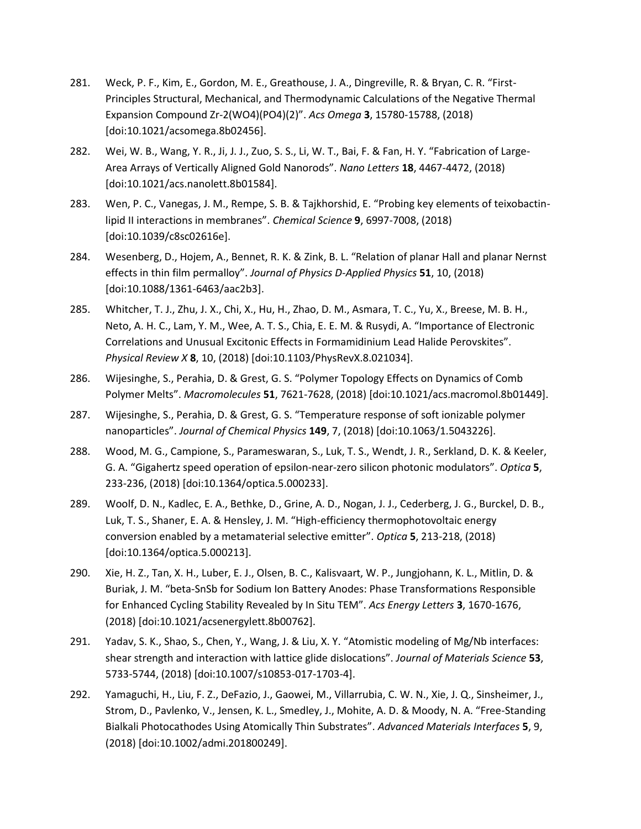- 281. Weck, P. F., Kim, E., Gordon, M. E., Greathouse, J. A., Dingreville, R. & Bryan, C. R. "First-Principles Structural, Mechanical, and Thermodynamic Calculations of the Negative Thermal Expansion Compound Zr-2(WO4)(PO4)(2)". *Acs Omega* **3**, 15780-15788, (2018) [doi:10.1021/acsomega.8b02456].
- 282. Wei, W. B., Wang, Y. R., Ji, J. J., Zuo, S. S., Li, W. T., Bai, F. & Fan, H. Y. "Fabrication of Large-Area Arrays of Vertically Aligned Gold Nanorods". *Nano Letters* **18**, 4467-4472, (2018) [doi:10.1021/acs.nanolett.8b01584].
- 283. Wen, P. C., Vanegas, J. M., Rempe, S. B. & Tajkhorshid, E. "Probing key elements of teixobactinlipid II interactions in membranes". *Chemical Science* **9**, 6997-7008, (2018) [doi:10.1039/c8sc02616e].
- 284. Wesenberg, D., Hojem, A., Bennet, R. K. & Zink, B. L. "Relation of planar Hall and planar Nernst effects in thin film permalloy". *Journal of Physics D-Applied Physics* **51**, 10, (2018) [doi:10.1088/1361-6463/aac2b3].
- 285. Whitcher, T. J., Zhu, J. X., Chi, X., Hu, H., Zhao, D. M., Asmara, T. C., Yu, X., Breese, M. B. H., Neto, A. H. C., Lam, Y. M., Wee, A. T. S., Chia, E. E. M. & Rusydi, A. "Importance of Electronic Correlations and Unusual Excitonic Effects in Formamidinium Lead Halide Perovskites". *Physical Review X* **8**, 10, (2018) [doi:10.1103/PhysRevX.8.021034].
- 286. Wijesinghe, S., Perahia, D. & Grest, G. S. "Polymer Topology Effects on Dynamics of Comb Polymer Melts". *Macromolecules* **51**, 7621-7628, (2018) [doi:10.1021/acs.macromol.8b01449].
- 287. Wijesinghe, S., Perahia, D. & Grest, G. S. "Temperature response of soft ionizable polymer nanoparticles". *Journal of Chemical Physics* **149**, 7, (2018) [doi:10.1063/1.5043226].
- 288. Wood, M. G., Campione, S., Parameswaran, S., Luk, T. S., Wendt, J. R., Serkland, D. K. & Keeler, G. A. "Gigahertz speed operation of epsilon-near-zero silicon photonic modulators". *Optica* **5**, 233-236, (2018) [doi:10.1364/optica.5.000233].
- 289. Woolf, D. N., Kadlec, E. A., Bethke, D., Grine, A. D., Nogan, J. J., Cederberg, J. G., Burckel, D. B., Luk, T. S., Shaner, E. A. & Hensley, J. M. "High-efficiency thermophotovoltaic energy conversion enabled by a metamaterial selective emitter". *Optica* **5**, 213-218, (2018) [doi:10.1364/optica.5.000213].
- 290. Xie, H. Z., Tan, X. H., Luber, E. J., Olsen, B. C., Kalisvaart, W. P., Jungjohann, K. L., Mitlin, D. & Buriak, J. M. "beta-SnSb for Sodium Ion Battery Anodes: Phase Transformations Responsible for Enhanced Cycling Stability Revealed by In Situ TEM". *Acs Energy Letters* **3**, 1670-1676, (2018) [doi:10.1021/acsenergylett.8b00762].
- 291. Yadav, S. K., Shao, S., Chen, Y., Wang, J. & Liu, X. Y. "Atomistic modeling of Mg/Nb interfaces: shear strength and interaction with lattice glide dislocations". *Journal of Materials Science* **53**, 5733-5744, (2018) [doi:10.1007/s10853-017-1703-4].
- 292. Yamaguchi, H., Liu, F. Z., DeFazio, J., Gaowei, M., Villarrubia, C. W. N., Xie, J. Q., Sinsheimer, J., Strom, D., Pavlenko, V., Jensen, K. L., Smedley, J., Mohite, A. D. & Moody, N. A. "Free-Standing Bialkali Photocathodes Using Atomically Thin Substrates". *Advanced Materials Interfaces* **5**, 9, (2018) [doi:10.1002/admi.201800249].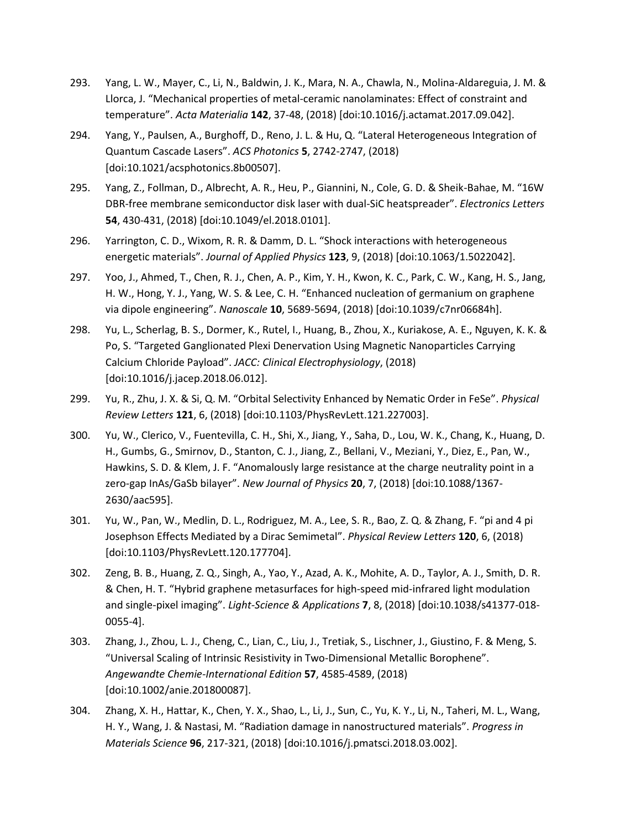- 293. Yang, L. W., Mayer, C., Li, N., Baldwin, J. K., Mara, N. A., Chawla, N., Molina-Aldareguia, J. M. & Llorca, J. "Mechanical properties of metal-ceramic nanolaminates: Effect of constraint and temperature". *Acta Materialia* **142**, 37-48, (2018) [doi:10.1016/j.actamat.2017.09.042].
- 294. Yang, Y., Paulsen, A., Burghoff, D., Reno, J. L. & Hu, Q. "Lateral Heterogeneous Integration of Quantum Cascade Lasers". *ACS Photonics* **5**, 2742-2747, (2018) [doi:10.1021/acsphotonics.8b00507].
- 295. Yang, Z., Follman, D., Albrecht, A. R., Heu, P., Giannini, N., Cole, G. D. & Sheik-Bahae, M. "16W DBR-free membrane semiconductor disk laser with dual-SiC heatspreader". *Electronics Letters* **54**, 430-431, (2018) [doi:10.1049/el.2018.0101].
- 296. Yarrington, C. D., Wixom, R. R. & Damm, D. L. "Shock interactions with heterogeneous energetic materials". *Journal of Applied Physics* **123**, 9, (2018) [doi:10.1063/1.5022042].
- 297. Yoo, J., Ahmed, T., Chen, R. J., Chen, A. P., Kim, Y. H., Kwon, K. C., Park, C. W., Kang, H. S., Jang, H. W., Hong, Y. J., Yang, W. S. & Lee, C. H. "Enhanced nucleation of germanium on graphene via dipole engineering". *Nanoscale* **10**, 5689-5694, (2018) [doi:10.1039/c7nr06684h].
- 298. Yu, L., Scherlag, B. S., Dormer, K., Rutel, I., Huang, B., Zhou, X., Kuriakose, A. E., Nguyen, K. K. & Po, S. "Targeted Ganglionated Plexi Denervation Using Magnetic Nanoparticles Carrying Calcium Chloride Payload". *JACC: Clinical Electrophysiology*, (2018) [doi:10.1016/j.jacep.2018.06.012].
- 299. Yu, R., Zhu, J. X. & Si, Q. M. "Orbital Selectivity Enhanced by Nematic Order in FeSe". *Physical Review Letters* **121**, 6, (2018) [doi:10.1103/PhysRevLett.121.227003].
- 300. Yu, W., Clerico, V., Fuentevilla, C. H., Shi, X., Jiang, Y., Saha, D., Lou, W. K., Chang, K., Huang, D. H., Gumbs, G., Smirnov, D., Stanton, C. J., Jiang, Z., Bellani, V., Meziani, Y., Diez, E., Pan, W., Hawkins, S. D. & Klem, J. F. "Anomalously large resistance at the charge neutrality point in a zero-gap InAs/GaSb bilayer". *New Journal of Physics* **20**, 7, (2018) [doi:10.1088/1367- 2630/aac595].
- 301. Yu, W., Pan, W., Medlin, D. L., Rodriguez, M. A., Lee, S. R., Bao, Z. Q. & Zhang, F. "pi and 4 pi Josephson Effects Mediated by a Dirac Semimetal". *Physical Review Letters* **120**, 6, (2018) [doi:10.1103/PhysRevLett.120.177704].
- 302. Zeng, B. B., Huang, Z. Q., Singh, A., Yao, Y., Azad, A. K., Mohite, A. D., Taylor, A. J., Smith, D. R. & Chen, H. T. "Hybrid graphene metasurfaces for high-speed mid-infrared light modulation and single-pixel imaging". *Light-Science & Applications* **7**, 8, (2018) [doi:10.1038/s41377-018- 0055-4].
- 303. Zhang, J., Zhou, L. J., Cheng, C., Lian, C., Liu, J., Tretiak, S., Lischner, J., Giustino, F. & Meng, S. "Universal Scaling of Intrinsic Resistivity in Two-Dimensional Metallic Borophene". *Angewandte Chemie-International Edition* **57**, 4585-4589, (2018) [doi:10.1002/anie.201800087].
- 304. Zhang, X. H., Hattar, K., Chen, Y. X., Shao, L., Li, J., Sun, C., Yu, K. Y., Li, N., Taheri, M. L., Wang, H. Y., Wang, J. & Nastasi, M. "Radiation damage in nanostructured materials". *Progress in Materials Science* **96**, 217-321, (2018) [doi:10.1016/j.pmatsci.2018.03.002].